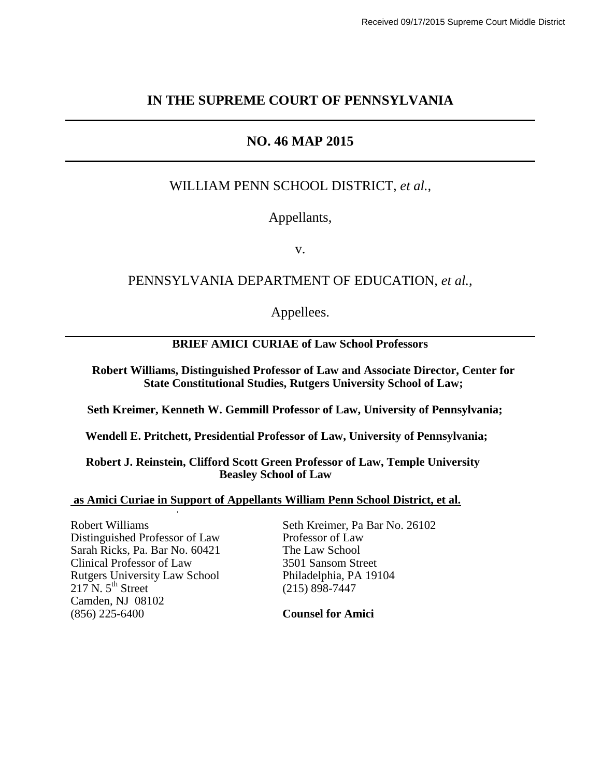#### **IN THE SUPREME COURT OF PENNSYLVANIA**

## **NO. 46 MAP 2015**

### WILLIAM PENN SCHOOL DISTRICT, *et al.,*

### Appellants,

v.

### PENNSYLVANIA DEPARTMENT OF EDUCATION, *et al.*,

Appellees.

#### **BRIEF AMICI CURIAE of Law School Professors**

**Robert Williams, Distinguished Professor of Law and Associate Director, Center for State Constitutional Studies, Rutgers University School of Law;**

**Seth Kreimer, Kenneth W. Gemmill Professor of Law, University of Pennsylvania;**

 **Wendell E. Pritchett, Presidential Professor of Law, University of Pennsylvania;**

 **Robert J. Reinstein, Clifford Scott Green Professor of Law, Temple University Beasley School of Law**

#### **as Amici Curiae in Support of Appellants William Penn School District, et al.**

Distinguished Professor of Law Professor of Law Sarah Ricks. Pa. Bar No. 60421 The Law School Sarah Ricks, Pa. Bar No. 60421 Clinical Professor of Law 3501 Sansom Street Rutgers University Law School Philadelphia, PA 19104  $217 \text{ N. } 5^{\text{th}}$  Street (215) 898-7447 Camden, NJ 08102 (856) 225-6400 **Counsel for Amici**

·

Robert Williams Seth Kreimer, Pa Bar No. 26102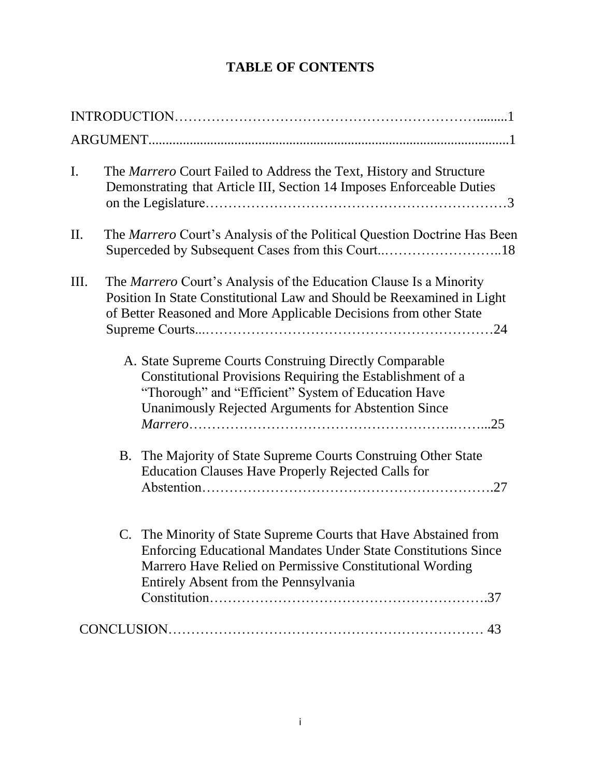# **TABLE OF CONTENTS**

| $\mathbf{I}$ .  | The Marrero Court Failed to Address the Text, History and Structure<br>Demonstrating that Article III, Section 14 Imposes Enforceable Duties                                                                                                   |
|-----------------|------------------------------------------------------------------------------------------------------------------------------------------------------------------------------------------------------------------------------------------------|
| $\mathbf{II}$ . | The <i>Marrero</i> Court's Analysis of the Political Question Doctrine Has Been                                                                                                                                                                |
| Ш.              | The <i>Marrero</i> Court's Analysis of the Education Clause Is a Minority<br>Position In State Constitutional Law and Should be Reexamined in Light<br>of Better Reasoned and More Applicable Decisions from other State                       |
|                 | A. State Supreme Courts Construing Directly Comparable<br>Constitutional Provisions Requiring the Establishment of a<br>"Thorough" and "Efficient" System of Education Have<br>Unanimously Rejected Arguments for Abstention Since             |
|                 | B. The Majority of State Supreme Courts Construing Other State<br><b>Education Clauses Have Properly Rejected Calls for</b>                                                                                                                    |
|                 | C. The Minority of State Supreme Courts that Have Abstained from<br><b>Enforcing Educational Mandates Under State Constitutions Since</b><br>Marrero Have Relied on Permissive Constitutional Wording<br>Entirely Absent from the Pennsylvania |
|                 |                                                                                                                                                                                                                                                |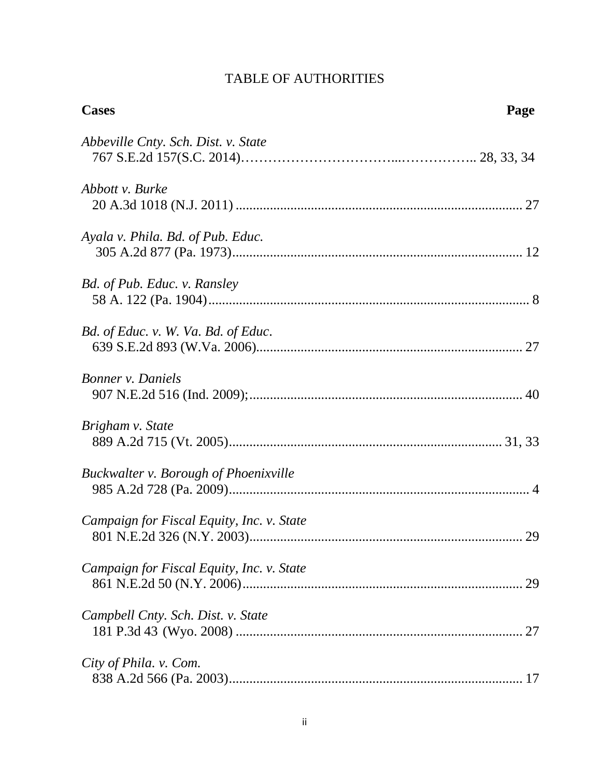# TABLE OF AUTHORITIES

| <b>Cases</b>                                 | Page |
|----------------------------------------------|------|
| Abbeville Cnty. Sch. Dist. v. State          |      |
| Abbott v. Burke                              |      |
| Ayala v. Phila. Bd. of Pub. Educ.            |      |
| Bd. of Pub. Educ. v. Ransley                 |      |
| Bd. of Educ. v. W. Va. Bd. of Educ.          |      |
| <b>Bonner</b> v. Daniels                     |      |
| Brigham v. State                             |      |
| <b>Buckwalter v. Borough of Phoenixville</b> |      |
| Campaign for Fiscal Equity, Inc. v. State    |      |
| Campaign for Fiscal Equity, Inc. v. State    |      |
| Campbell Cnty. Sch. Dist. v. State           |      |
| City of Phila. v. Com.                       |      |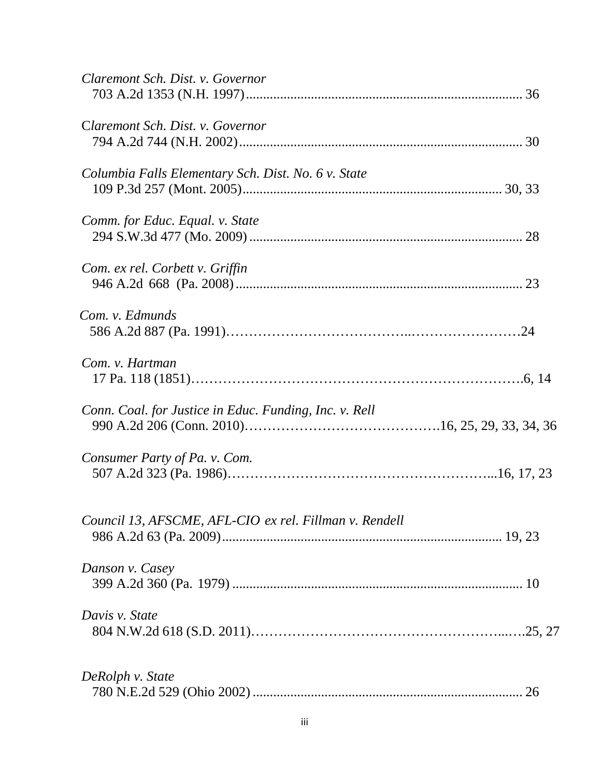| Claremont Sch. Dist. v. Governor                       |
|--------------------------------------------------------|
| Claremont Sch. Dist. v. Governor                       |
| Columbia Falls Elementary Sch. Dist. No. 6 v. State    |
| Comm. for Educ. Equal. v. State                        |
| Com. ex rel. Corbett v. Griffin                        |
| Com. v. Edmunds                                        |
| Com. v. Hartman                                        |
| Conn. Coal. for Justice in Educ. Funding, Inc. v. Rell |
| Consumer Party of Pa. v. Com.                          |
| Council 13, AFSCME, AFL-CIO ex rel. Fillman v. Rendell |
| Danson v. Casey                                        |
| Davis v. State                                         |
| DeRolph v. State                                       |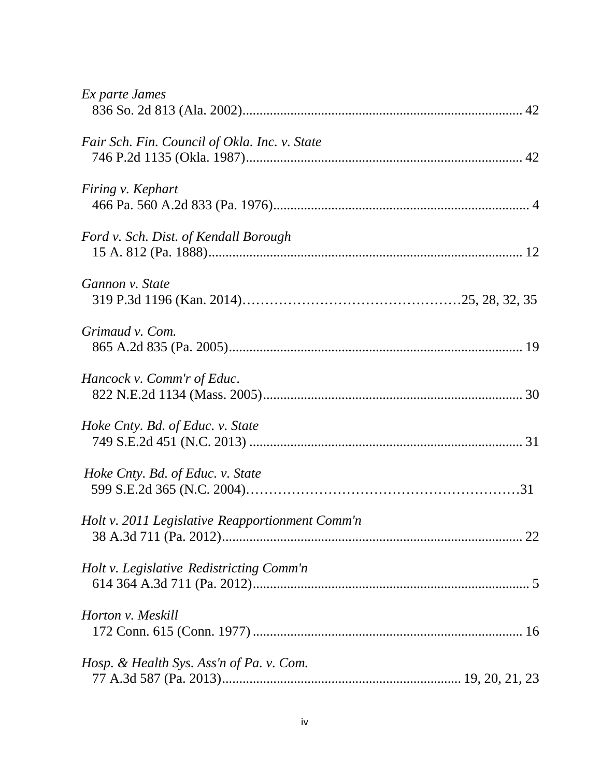| Ex parte James                                  |
|-------------------------------------------------|
| Fair Sch. Fin. Council of Okla. Inc. v. State   |
| Firing v. Kephart                               |
| Ford v. Sch. Dist. of Kendall Borough           |
| Gannon v. State                                 |
| Grimaud v. Com.                                 |
| Hancock v. Comm'r of Educ.                      |
| Hoke Cnty. Bd. of Educ. v. State                |
| Hoke Cnty. Bd. of Educ. v. State                |
| Holt v. 2011 Legislative Reapportionment Comm'n |
| Holt v. Legislative Redistricting Comm'n        |
| Horton v. Meskill                               |
| Hosp. & Health Sys. Ass'n of Pa. v. Com.        |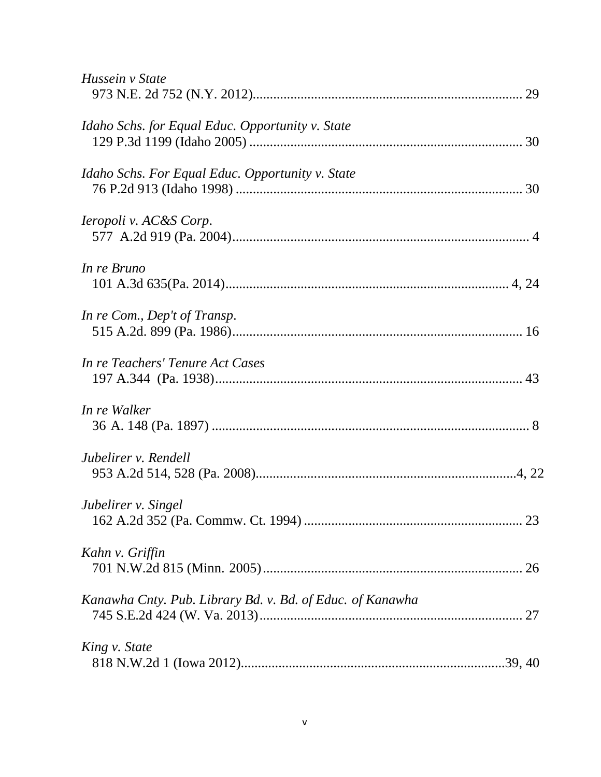| Hussein v State                                           |
|-----------------------------------------------------------|
| Idaho Schs. for Equal Educ. Opportunity v. State          |
| Idaho Schs. For Equal Educ. Opportunity v. State          |
| <i>Ieropoli v. AC&amp;S Corp.</i>                         |
| In re Bruno                                               |
| In re Com., Dep't of Transp.                              |
| In re Teachers' Tenure Act Cases                          |
| In re Walker                                              |
| Jubelirer v. Rendell                                      |
| Jubelirer v. Singel                                       |
| Kahn v. Griffin                                           |
| Kanawha Cnty. Pub. Library Bd. v. Bd. of Educ. of Kanawha |
| King v. State                                             |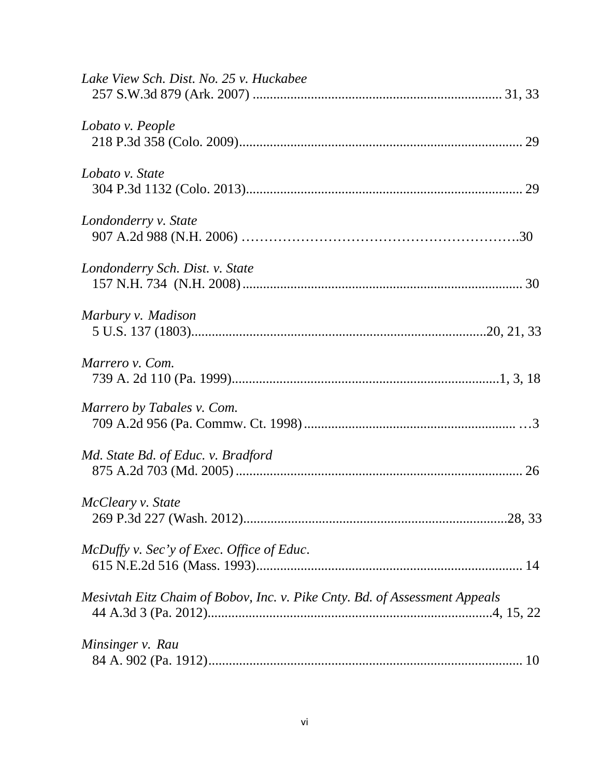| Lake View Sch. Dist. No. 25 v. Huckabee                                    |  |
|----------------------------------------------------------------------------|--|
| Lobato v. People                                                           |  |
| Lobato v. State                                                            |  |
| Londonderry v. State                                                       |  |
| Londonderry Sch. Dist. v. State                                            |  |
| Marbury v. Madison                                                         |  |
| Marrero v. Com.                                                            |  |
| Marrero by Tabales v. Com.                                                 |  |
| Md. State Bd. of Educ. v. Bradford                                         |  |
| McCleary v. State                                                          |  |
| McDuffy v. Sec'y of Exec. Office of Educ.                                  |  |
| Mesivtah Eitz Chaim of Bobov, Inc. v. Pike Cnty. Bd. of Assessment Appeals |  |
| Minsinger v. Rau                                                           |  |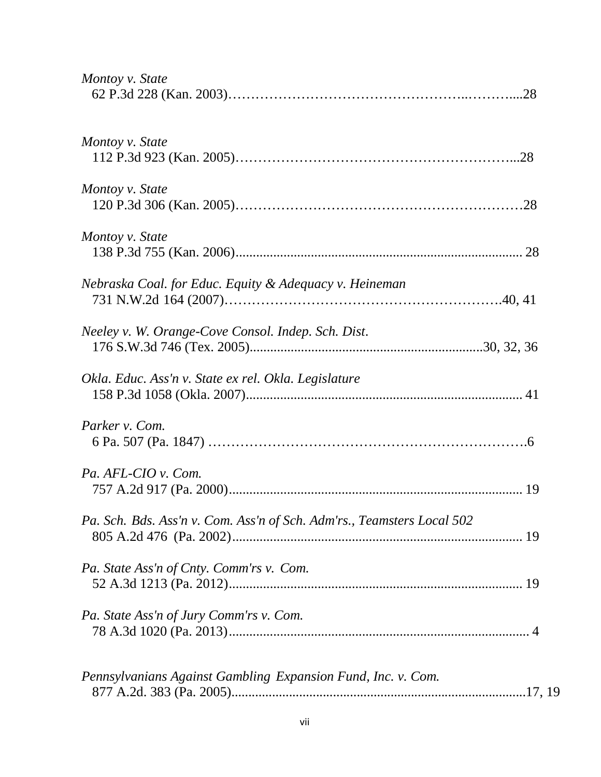| Montoy v. State                                                        |  |
|------------------------------------------------------------------------|--|
| Montoy v. State                                                        |  |
| Montoy v. State                                                        |  |
| Montoy v. State                                                        |  |
| Nebraska Coal. for Educ. Equity & Adequacy v. Heineman                 |  |
| Neeley v. W. Orange-Cove Consol. Indep. Sch. Dist.                     |  |
| Okla. Educ. Ass'n v. State ex rel. Okla. Legislature                   |  |
| Parker v. Com.                                                         |  |
| Pa. AFL-CIO v. Com.                                                    |  |
| Pa. Sch. Bds. Ass'n v. Com. Ass'n of Sch. Adm'rs., Teamsters Local 502 |  |
| Pa. State Ass'n of Cnty. Comm'rs v. Com.                               |  |
| Pa. State Ass'n of Jury Comm'rs v. Com.                                |  |
| Pennsylvanians Against Gambling Expansion Fund, Inc. v. Com.           |  |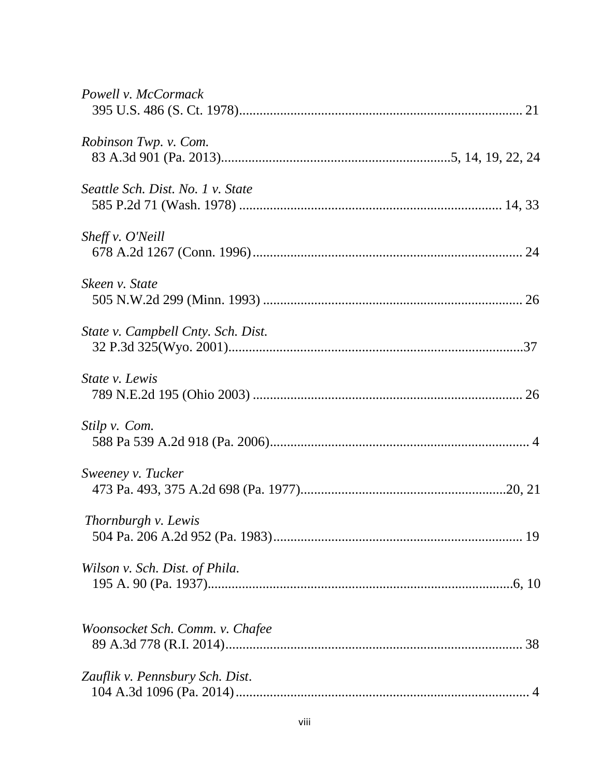| Powell v. McCormack                |
|------------------------------------|
| Robinson Twp. v. Com.              |
| Seattle Sch. Dist. No. 1 v. State  |
| Sheff v. O'Neill                   |
| Skeen v. State                     |
| State v. Campbell Cnty. Sch. Dist. |
| <i>State v. Lewis</i>              |
| Stilp v. Com.                      |
| Sweeney v. Tucker                  |
| Thornburgh v. Lewis                |
| Wilson v. Sch. Dist. of Phila.     |
| Woonsocket Sch. Comm. v. Chafee    |
| Zauflik v. Pennsbury Sch. Dist.    |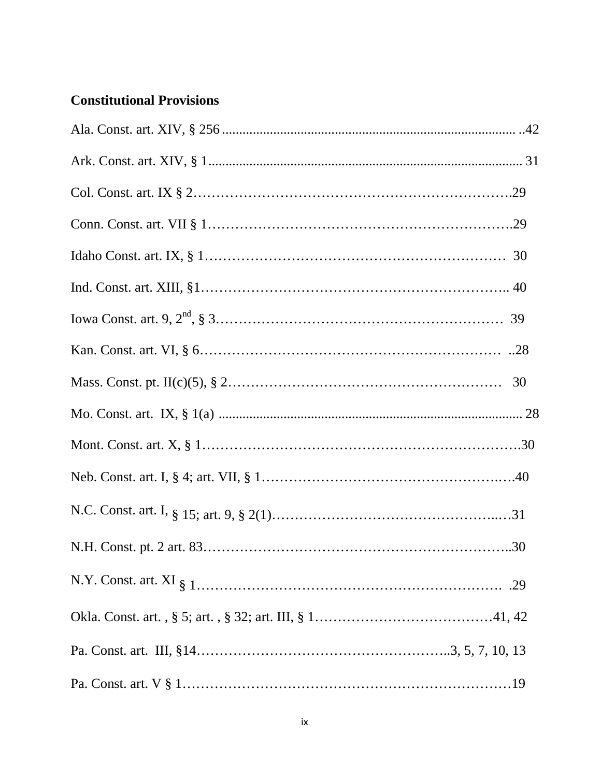# **Constitutional Provisions**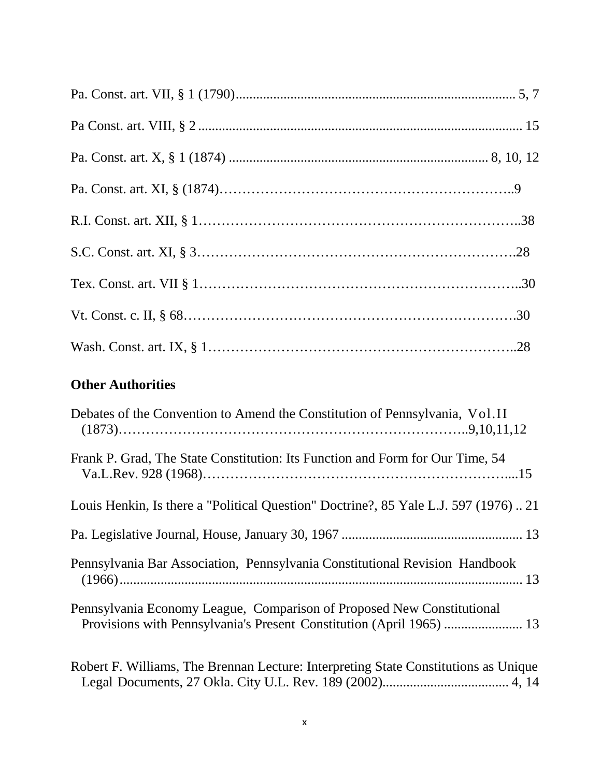| <b>Other Authorities</b>                                                        |  |
|---------------------------------------------------------------------------------|--|
| Departure of the Convention to Amend the Constitution of Pennsylvania, $V_0$ II |  |

| Debates of the Convention to Amend the Constitution of Pennsylvania, Vol.II         |
|-------------------------------------------------------------------------------------|
| Frank P. Grad, The State Constitution: Its Function and Form for Our Time, 54       |
| Louis Henkin, Is there a "Political Question" Doctrine?, 85 Yale L.J. 597 (1976)21  |
|                                                                                     |
| Pennsylvania Bar Association, Pennsylvania Constitutional Revision Handbook         |
| Pennsylvania Economy League, Comparison of Proposed New Constitutional              |
| Robert F. Williams, The Brennan Lecture: Interpreting State Constitutions as Unique |

Legal Documents, 27 Okla. City U.L. Rev. 189 (2002)..................................... 4, 14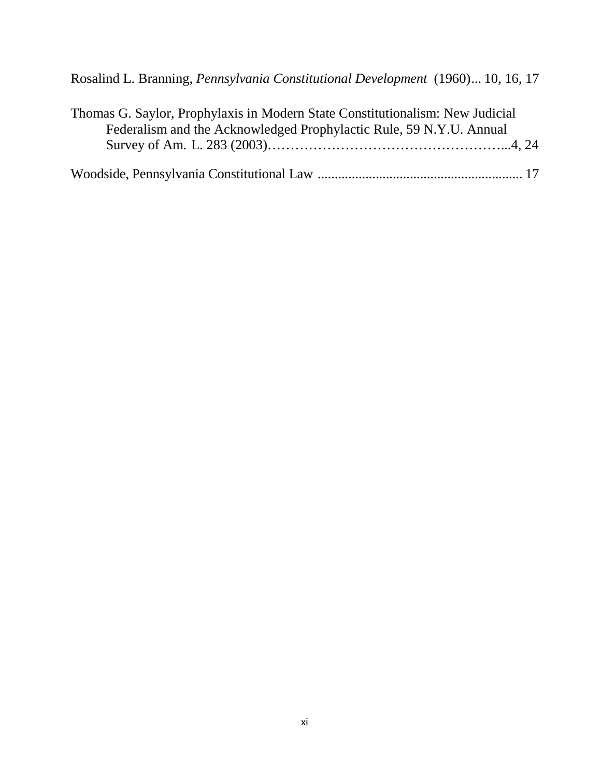| Thomas G. Saylor, Prophylaxis in Modern State Constitutionalism: New Judicial |  |
|-------------------------------------------------------------------------------|--|
| Federalism and the Acknowledged Prophylactic Rule, 59 N.Y.U. Annual           |  |
|                                                                               |  |
|                                                                               |  |
|                                                                               |  |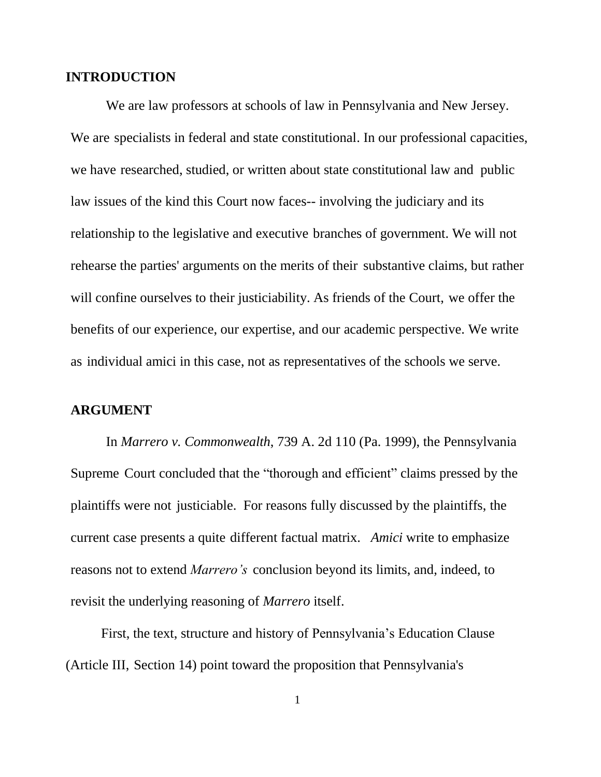#### **INTRODUCTION**

We are law professors at schools of law in Pennsylvania and New Jersey. We are specialists in federal and state constitutional. In our professional capacities, we have researched, studied, or written about state constitutional law and public law issues of the kind this Court now faces-- involving the judiciary and its relationship to the legislative and executive branches of government. We will not rehearse the parties' arguments on the merits of their substantive claims, but rather will confine ourselves to their justiciability. As friends of the Court, we offer the benefits of our experience, our expertise, and our academic perspective. We write as individual amici in this case, not as representatives of the schools we serve.

#### **ARGUMENT**

In *Marrero v. Commonwealth*, 739 A. 2d 110 (Pa. 1999), the Pennsylvania Supreme Court concluded that the "thorough and efficient" claims pressed by the plaintiffs were not justiciable. For reasons fully discussed by the plaintiffs, the current case presents a quite different factual matrix. *Amici* write to emphasize reasons not to extend *Marrero's* conclusion beyond its limits, and, indeed, to revisit the underlying reasoning of *Marrero* itself.

First, the text, structure and history of Pennsylvania's Education Clause (Article III, Section 14) point toward the proposition that Pennsylvania's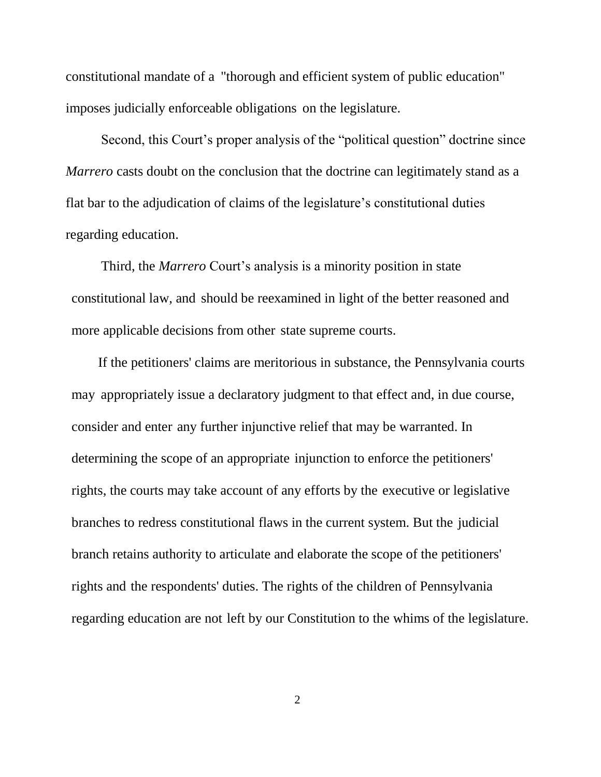constitutional mandate of a "thorough and efficient system of public education" imposes judicially enforceable obligations on the legislature.

Second, this Court's proper analysis of the "political question" doctrine since *Marrero* casts doubt on the conclusion that the doctrine can legitimately stand as a flat bar to the adjudication of claims of the legislature's constitutional duties regarding education.

Third, the *Marrero* Court's analysis is a minority position in state constitutional law, and should be reexamined in light of the better reasoned and more applicable decisions from other state supreme courts.

If the petitioners' claims are meritorious in substance, the Pennsylvania courts may appropriately issue a declaratory judgment to that effect and, in due course, consider and enter any further injunctive relief that may be warranted. In determining the scope of an appropriate injunction to enforce the petitioners' rights, the courts may take account of any efforts by the executive or legislative branches to redress constitutional flaws in the current system. But the judicial branch retains authority to articulate and elaborate the scope of the petitioners' rights and the respondents' duties. The rights of the children of Pennsylvania regarding education are not left by our Constitution to the whims of the legislature.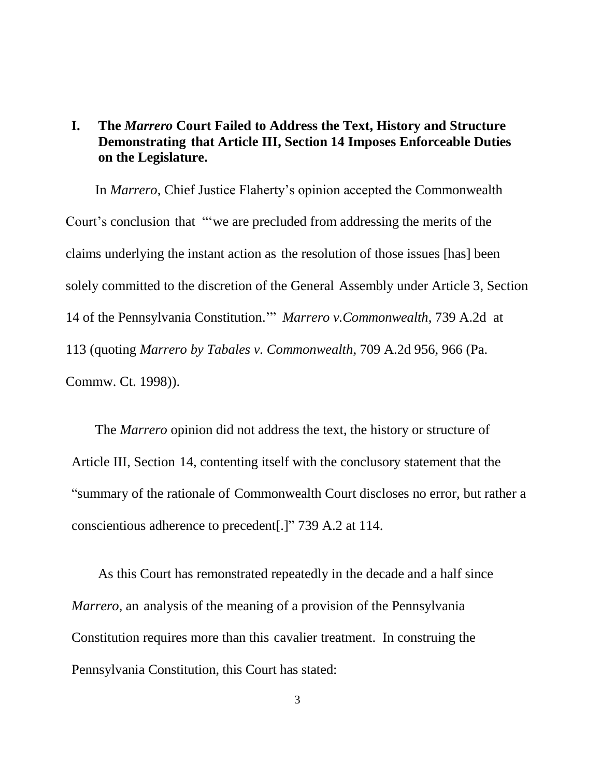### **I. The** *Marrero* **Court Failed to Address the Text, History and Structure Demonstrating that Article III, Section 14 Imposes Enforceable Duties on the Legislature.**

In *Marrero*, Chief Justice Flaherty's opinion accepted the Commonwealth Court's conclusion that "'we are precluded from addressing the merits of the claims underlying the instant action as the resolution of those issues [has] been solely committed to the discretion of the General Assembly under Article 3, Section 14 of the Pennsylvania Constitution.'" *Marrero v.Commonwealth*, 739 A.2d at 113 (quoting *Marrero by Tabales v. Commonwealth*, 709 A.2d 956, 966 (Pa. Commw. Ct. 1998)).

The *Marrero* opinion did not address the text, the history or structure of Article III, Section 14, contenting itself with the conclusory statement that the "summary of the rationale of Commonwealth Court discloses no error, but rather a conscientious adherence to precedent[.]" 739 A.2 at 114.

As this Court has remonstrated repeatedly in the decade and a half since *Marrero*, an analysis of the meaning of a provision of the Pennsylvania Constitution requires more than this cavalier treatment. In construing the Pennsylvania Constitution, this Court has stated: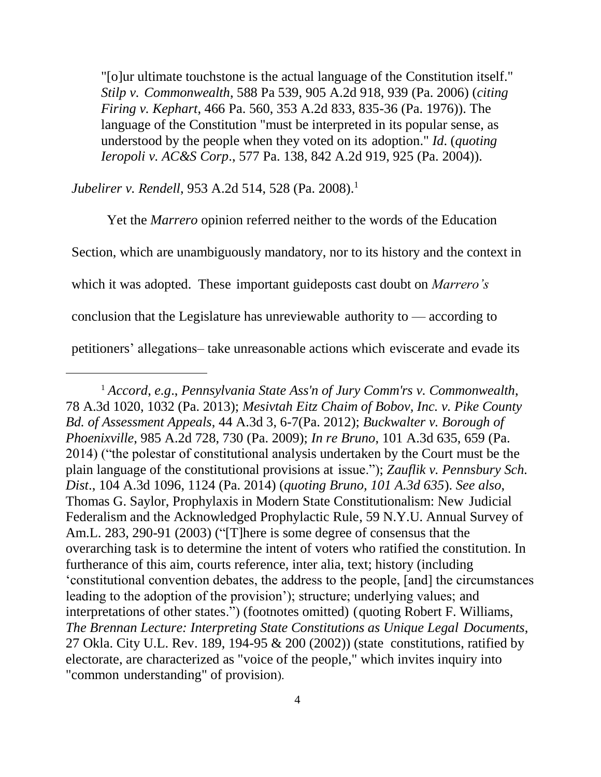"[o]ur ultimate touchstone is the actual language of the Constitution itself." *Stilp v. Commonwealth*, 588 Pa 539, 905 A.2d 918, 939 (Pa. 2006) (*citing Firing v. Kephart*, 466 Pa. 560, 353 A.2d 833, 835-36 (Pa. 1976)). The language of the Constitution "must be interpreted in its popular sense, as understood by the people when they voted on its adoption." *Id*. (*quoting Ieropoli v. AC&S Corp*., 577 Pa. 138, 842 A.2d 919, 925 (Pa. 2004)).

*Jubelirer v. Rendell*, 953 A.2d 514, 528 (Pa. 2008). 1

 $\overline{a}$ 

Yet the *Marrero* opinion referred neither to the words of the Education Section, which are unambiguously mandatory, nor to its history and the context in which it was adopted. These important guideposts cast doubt on *Marrero's*  conclusion that the Legislature has unreviewable authority to — according to petitioners' allegations– take unreasonable actions which eviscerate and evade its

<sup>1</sup> *Accord*, *e.g*., *Pennsylvania State Ass'n of Jury Comm'rs v. Commonwealth*, 78 A.3d 1020, 1032 (Pa. 2013); *Mesivtah Eitz Chaim of Bobov, Inc. v. Pike County Bd. of Assessment Appeals*, 44 A.3d 3, 6-7(Pa. 2012); *Buckwalter v. Borough of Phoenixville*, 985 A.2d 728, 730 (Pa. 2009); *In re Bruno*, 101 A.3d 635, 659 (Pa. 2014) ("the polestar of constitutional analysis undertaken by the Court must be the plain language of the constitutional provisions at issue."); *Zauflik v. Pennsbury Sch. Dist*., 104 A.3d 1096, 1124 (Pa. 2014) (*quoting Bruno, 101 A.3d 635*). *See also*, Thomas G. Saylor, Prophylaxis in Modern State Constitutionalism: New Judicial Federalism and the Acknowledged Prophylactic Rule, 59 N.Y.U. Annual Survey of Am.L. 283, 290-91 (2003) ("[T]here is some degree of consensus that the overarching task is to determine the intent of voters who ratified the constitution. In furtherance of this aim, courts reference, inter alia, text; history (including 'constitutional convention debates, the address to the people, [and] the circumstances leading to the adoption of the provision'); structure; underlying values; and interpretations of other states.") (footnotes omitted) (quoting Robert F. Williams, *The Brennan Lecture: Interpreting State Constitutions as Unique Legal Documents*, 27 Okla. City U.L. Rev. 189, 194-95 & 200 (2002)) (state constitutions, ratified by electorate, are characterized as "voice of the people," which invites inquiry into "common understanding" of provision).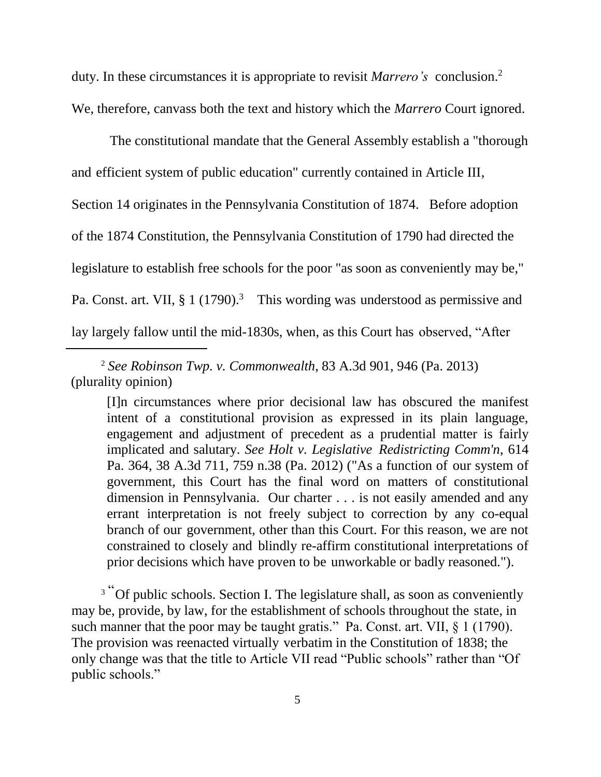duty. In these circumstances it is appropriate to revisit *Marrero's* conclusion.<sup>2</sup> We, therefore, canvass both the text and history which the *Marrero* Court ignored.

The constitutional mandate that the General Assembly establish a "thorough and efficient system of public education" currently contained in Article III, Section 14 originates in the Pennsylvania Constitution of 1874. Before adoption of the 1874 Constitution, the Pennsylvania Constitution of 1790 had directed the legislature to establish free schools for the poor "as soon as conveniently may be," Pa. Const. art. VII, § 1 (1790).<sup>3</sup> This wording was understood as permissive and lay largely fallow until the mid-1830s, when, as this Court has observed, "After

<sup>2</sup> *See Robinson Twp. v. Commonwealth*, 83 A.3d 901, 946 (Pa. 2013) (plurality opinion)

 $\overline{a}$ 

[I]n circumstances where prior decisional law has obscured the manifest intent of a constitutional provision as expressed in its plain language, engagement and adjustment of precedent as a prudential matter is fairly implicated and salutary. *See Holt v. Legislative Redistricting Comm'n*, 614 Pa. 364, 38 A.3d 711, 759 n.38 (Pa. 2012) ("As a function of our system of government, this Court has the final word on matters of constitutional dimension in Pennsylvania. Our charter . . . is not easily amended and any errant interpretation is not freely subject to correction by any co-equal branch of our government, other than this Court. For this reason, we are not constrained to closely and blindly re-affirm constitutional interpretations of prior decisions which have proven to be unworkable or badly reasoned.").

<sup>3</sup> "Of public schools. Section I. The legislature shall, as soon as conveniently may be, provide, by law, for the establishment of schools throughout the state, in such manner that the poor may be taught gratis." Pa. Const. art. VII, § 1 (1790). The provision was reenacted virtually verbatim in the Constitution of 1838; the only change was that the title to Article VII read "Public schools" rather than "Of public schools."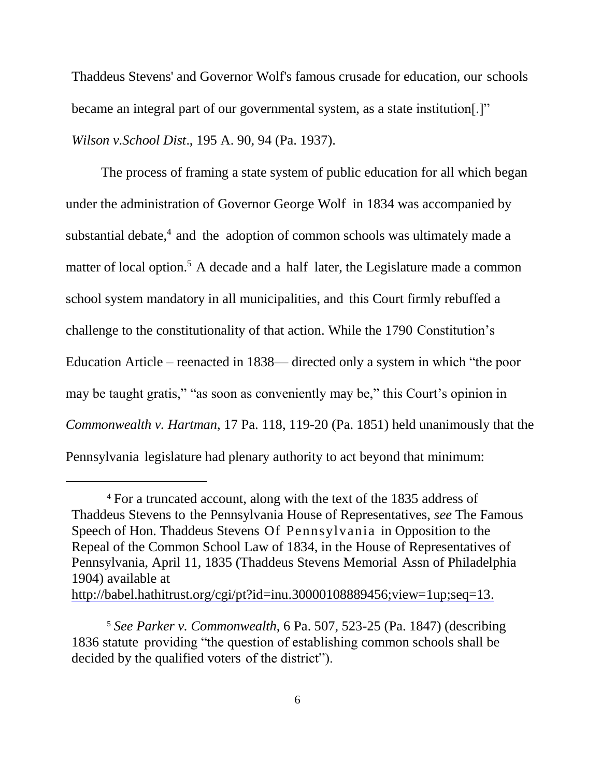Thaddeus Stevens' and Governor Wolf's famous crusade for education, our schools became an integral part of our governmental system, as a state institution[.]" *Wilson v.School Dist*., 195 A. 90, 94 (Pa. 1937).

The process of framing a state system of public education for all which began under the administration of Governor George Wolf in 1834 was accompanied by substantial debate,<sup>4</sup> and the adoption of common schools was ultimately made a matter of local option.<sup>5</sup> A decade and a half later, the Legislature made a common school system mandatory in all municipalities, and this Court firmly rebuffed a challenge to the constitutionality of that action. While the 1790 Constitution's Education Article – reenacted in 1838— directed only a system in which "the poor may be taught gratis," "as soon as conveniently may be," this Court's opinion in *Commonwealth v. Hartman*, 17 Pa. 118, 119-20 (Pa. 1851) held unanimously that the Pennsylvania legislature had plenary authority to act beyond that minimum:

 $\overline{a}$ 

<sup>4</sup> For a truncated account, along with the text of the 1835 address of Thaddeus Stevens to the Pennsylvania House of Representatives, *see* The Famous Speech of Hon. Thaddeus Stevens Of Pennsylvania in Opposition to the Repeal of the Common School Law of 1834, in the House of Representatives of Pennsylvania, April 11, 1835 (Thaddeus Stevens Memorial Assn of Philadelphia 1904) available at [http://babel.hathitrust.org/cgi/pt?id=inu.30000108889456;view=1up;seq=13.](http://babel.hathitrust.org/cgi/pt?id=inu.30000108889456%3Bview%3D1up%3Bseq%3D13)

<sup>5</sup> *See Parker v. Commonwealth*, 6 Pa. 507, 523-25 (Pa. 1847) (describing 1836 statute providing "the question of establishing common schools shall be decided by the qualified voters of the district").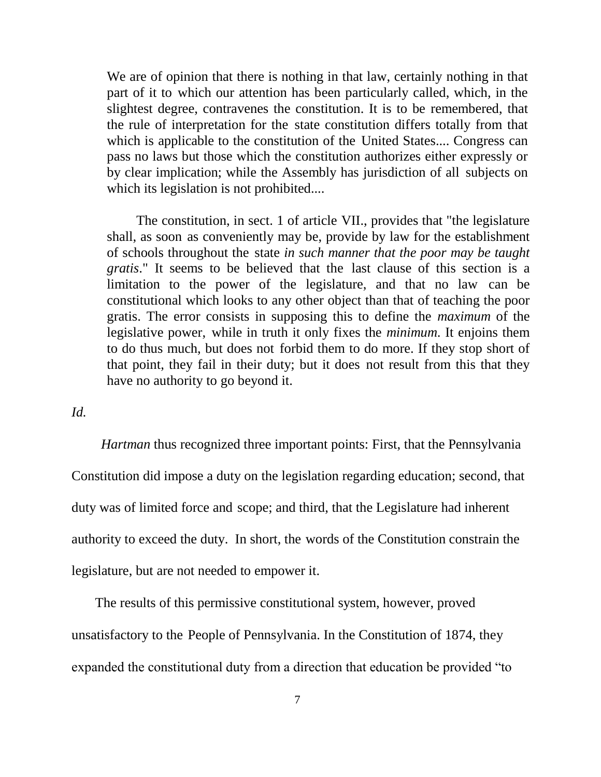We are of opinion that there is nothing in that law, certainly nothing in that part of it to which our attention has been particularly called, which, in the slightest degree, contravenes the constitution. It is to be remembered, that the rule of interpretation for the state constitution differs totally from that which is applicable to the constitution of the United States.... Congress can pass no laws but those which the constitution authorizes either expressly or by clear implication; while the Assembly has jurisdiction of all subjects on which its legislation is not prohibited....

The constitution, in sect. 1 of article VII., provides that "the legislature shall, as soon as conveniently may be, provide by law for the establishment of schools throughout the state *in such manner that the poor may be taught gratis*." It seems to be believed that the last clause of this section is a limitation to the power of the legislature, and that no law can be constitutional which looks to any other object than that of teaching the poor gratis. The error consists in supposing this to define the *maximum* of the legislative power, while in truth it only fixes the *minimum*. It enjoins them to do thus much, but does not forbid them to do more. If they stop short of that point, they fail in their duty; but it does not result from this that they have no authority to go beyond it.

*Id.*

*Hartman* thus recognized three important points: First, that the Pennsylvania Constitution did impose a duty on the legislation regarding education; second, that duty was of limited force and scope; and third, that the Legislature had inherent authority to exceed the duty. In short, the words of the Constitution constrain the legislature, but are not needed to empower it.

The results of this permissive constitutional system, however, proved unsatisfactory to the People of Pennsylvania. In the Constitution of 1874, they expanded the constitutional duty from a direction that education be provided "to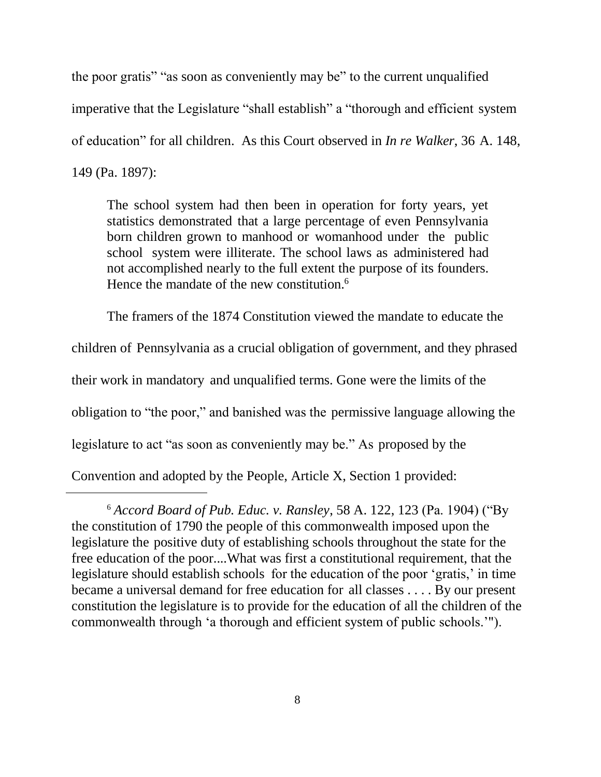the poor gratis" "as soon as conveniently may be" to the current unqualified imperative that the Legislature "shall establish" a "thorough and efficient system of education" for all children. As this Court observed in *In re Walker*, 36 A. 148, 149 (Pa. 1897):

The school system had then been in operation for forty years, yet statistics demonstrated that a large percentage of even Pennsylvania born children grown to manhood or womanhood under the public school system were illiterate. The school laws as administered had not accomplished nearly to the full extent the purpose of its founders. Hence the mandate of the new constitution.<sup>6</sup>

The framers of the 1874 Constitution viewed the mandate to educate the children of Pennsylvania as a crucial obligation of government, and they phrased their work in mandatory and unqualified terms. Gone were the limits of the obligation to "the poor," and banished was the permissive language allowing the legislature to act "as soon as conveniently may be." As proposed by the Convention and adopted by the People, Article X, Section 1 provided:

 $\overline{a}$ 

<sup>6</sup> *Accord Board of Pub. Educ. v. Ransley*, 58 A. 122, 123 (Pa. 1904) ("By the constitution of 1790 the people of this commonwealth imposed upon the legislature the positive duty of establishing schools throughout the state for the free education of the poor....What was first a constitutional requirement, that the legislature should establish schools for the education of the poor 'gratis,' in time became a universal demand for free education for all classes . . . . By our present constitution the legislature is to provide for the education of all the children of the commonwealth through 'a thorough and efficient system of public schools.'").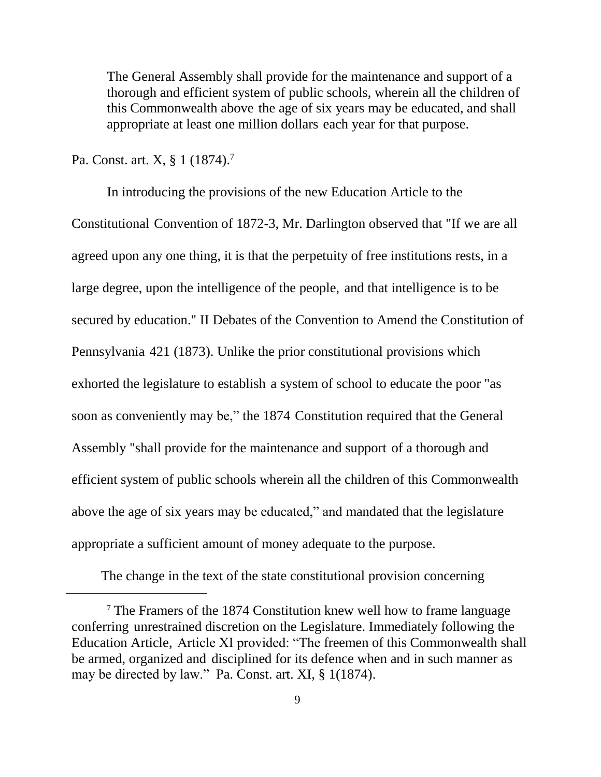The General Assembly shall provide for the maintenance and support of a thorough and efficient system of public schools, wherein all the children of this Commonwealth above the age of six years may be educated, and shall appropriate at least one million dollars each year for that purpose.

Pa. Const. art. X, § 1 (1874).<sup>7</sup>

 $\overline{a}$ 

In introducing the provisions of the new Education Article to the Constitutional Convention of 1872-3, Mr. Darlington observed that "If we are all agreed upon any one thing, it is that the perpetuity of free institutions rests, in a large degree, upon the intelligence of the people, and that intelligence is to be secured by education." II Debates of the Convention to Amend the Constitution of Pennsylvania 421 (1873). Unlike the prior constitutional provisions which exhorted the legislature to establish a system of school to educate the poor "as soon as conveniently may be," the 1874 Constitution required that the General Assembly "shall provide for the maintenance and support of a thorough and efficient system of public schools wherein all the children of this Commonwealth above the age of six years may be educated," and mandated that the legislature appropriate a sufficient amount of money adequate to the purpose.

The change in the text of the state constitutional provision concerning

<sup>7</sup> The Framers of the 1874 Constitution knew well how to frame language conferring unrestrained discretion on the Legislature. Immediately following the Education Article, Article XI provided: "The freemen of this Commonwealth shall be armed, organized and disciplined for its defence when and in such manner as may be directed by law." Pa. Const. art. XI, § 1(1874).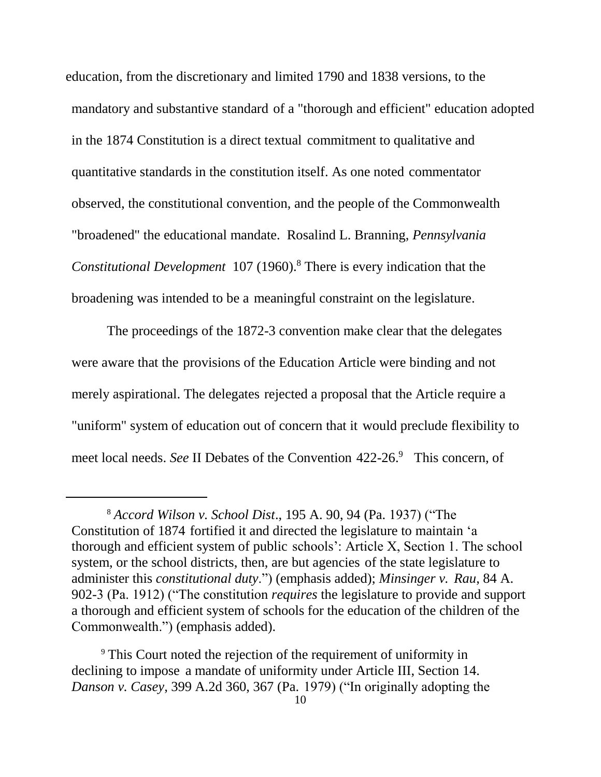education, from the discretionary and limited 1790 and 1838 versions, to the mandatory and substantive standard of a "thorough and efficient" education adopted in the 1874 Constitution is a direct textual commitment to qualitative and quantitative standards in the constitution itself. As one noted commentator observed, the constitutional convention, and the people of the Commonwealth "broadened" the educational mandate. Rosalind L. Branning, *Pennsylvania Constitutional Development* 107 (1960).<sup>8</sup> There is every indication that the broadening was intended to be a meaningful constraint on the legislature.

The proceedings of the 1872-3 convention make clear that the delegates were aware that the provisions of the Education Article were binding and not merely aspirational. The delegates rejected a proposal that the Article require a "uniform" system of education out of concern that it would preclude flexibility to meet local needs. *See* II Debates of the Convention 422-26.<sup>9</sup> This concern, of

 $\overline{a}$ 

<sup>8</sup> *Accord Wilson v. School Dist*., 195 A. 90, 94 (Pa. 1937) ("The Constitution of 1874 fortified it and directed the legislature to maintain 'a thorough and efficient system of public schools': Article X, Section 1. The school system, or the school districts, then, are but agencies of the state legislature to administer this *constitutional duty*.") (emphasis added); *Minsinger v. Rau*, 84 A. 902-3 (Pa. 1912) ("The constitution *requires* the legislature to provide and support a thorough and efficient system of schools for the education of the children of the Commonwealth.") (emphasis added).

<sup>9</sup> This Court noted the rejection of the requirement of uniformity in declining to impose a mandate of uniformity under Article III, Section 14. *Danson v. Casey*, 399 A.2d 360, 367 (Pa. 1979) ("In originally adopting the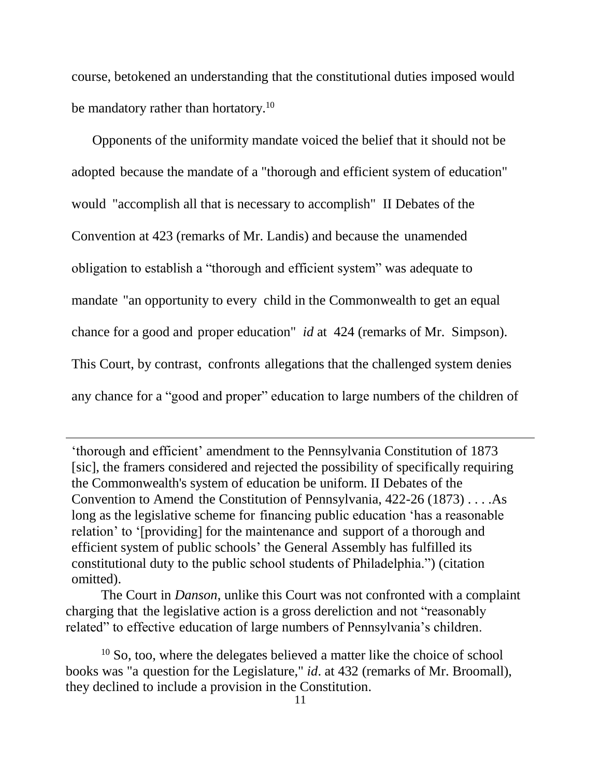course, betokened an understanding that the constitutional duties imposed would be mandatory rather than hortatory.<sup>10</sup>

Opponents of the uniformity mandate voiced the belief that it should not be adopted because the mandate of a "thorough and efficient system of education" would "accomplish all that is necessary to accomplish" II Debates of the Convention at 423 (remarks of Mr. Landis) and because the unamended obligation to establish a "thorough and efficient system" was adequate to mandate "an opportunity to every child in the Commonwealth to get an equal chance for a good and proper education" *id* at 424 (remarks of Mr. Simpson). This Court, by contrast, confronts allegations that the challenged system denies any chance for a "good and proper" education to large numbers of the children of

'thorough and efficient' amendment to the Pennsylvania Constitution of 1873 [sic], the framers considered and rejected the possibility of specifically requiring the Commonwealth's system of education be uniform. II Debates of the Convention to Amend the Constitution of Pennsylvania, 422-26 (1873) . . . .As long as the legislative scheme for financing public education 'has a reasonable relation' to '[providing] for the maintenance and support of a thorough and efficient system of public schools' the General Assembly has fulfilled its constitutional duty to the public school students of Philadelphia.") (citation omitted).

 $\overline{a}$ 

The Court in *Danson*, unlike this Court was not confronted with a complaint charging that the legislative action is a gross dereliction and not "reasonably related" to effective education of large numbers of Pennsylvania's children.

 $10$  So, too, where the delegates believed a matter like the choice of school books was "a question for the Legislature," *id*. at 432 (remarks of Mr. Broomall), they declined to include a provision in the Constitution.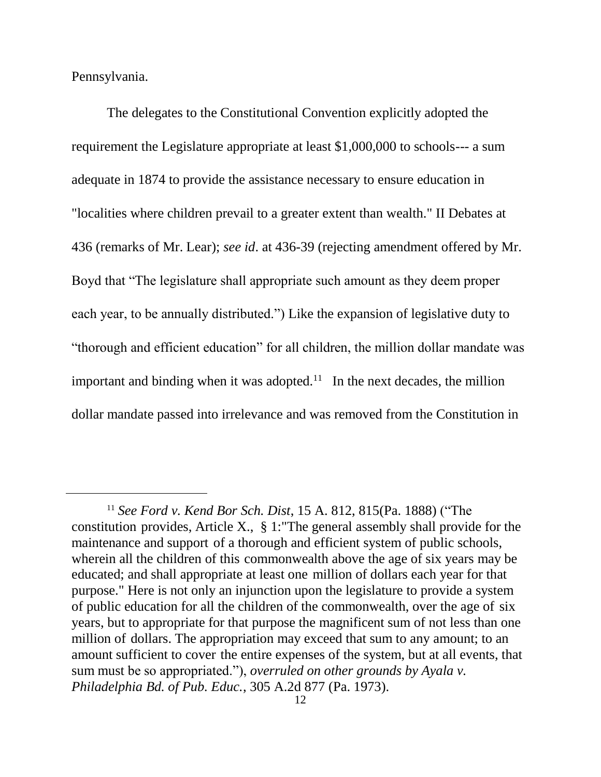Pennsylvania.

 $\overline{a}$ 

The delegates to the Constitutional Convention explicitly adopted the requirement the Legislature appropriate at least \$1,000,000 to schools--- a sum adequate in 1874 to provide the assistance necessary to ensure education in "localities where children prevail to a greater extent than wealth." II Debates at 436 (remarks of Mr. Lear); *see id*. at 436-39 (rejecting amendment offered by Mr. Boyd that "The legislature shall appropriate such amount as they deem proper each year, to be annually distributed.") Like the expansion of legislative duty to "thorough and efficient education" for all children, the million dollar mandate was important and binding when it was adopted.<sup>11</sup> In the next decades, the million dollar mandate passed into irrelevance and was removed from the Constitution in

<sup>11</sup> *See Ford v. Kend Bor Sch. Dist*, 15 A. 812, 815(Pa. 1888) ("The constitution provides, Article X., § 1:"The general assembly shall provide for the maintenance and support of a thorough and efficient system of public schools, wherein all the children of this commonwealth above the age of six years may be educated; and shall appropriate at least one million of dollars each year for that purpose." Here is not only an injunction upon the legislature to provide a system of public education for all the children of the commonwealth, over the age of six years, but to appropriate for that purpose the magnificent sum of not less than one million of dollars. The appropriation may exceed that sum to any amount; to an amount sufficient to cover the entire expenses of the system, but at all events, that sum must be so appropriated."), *overruled on other grounds by Ayala v. Philadelphia Bd. of Pub. Educ.*, 305 A.2d 877 (Pa. 1973).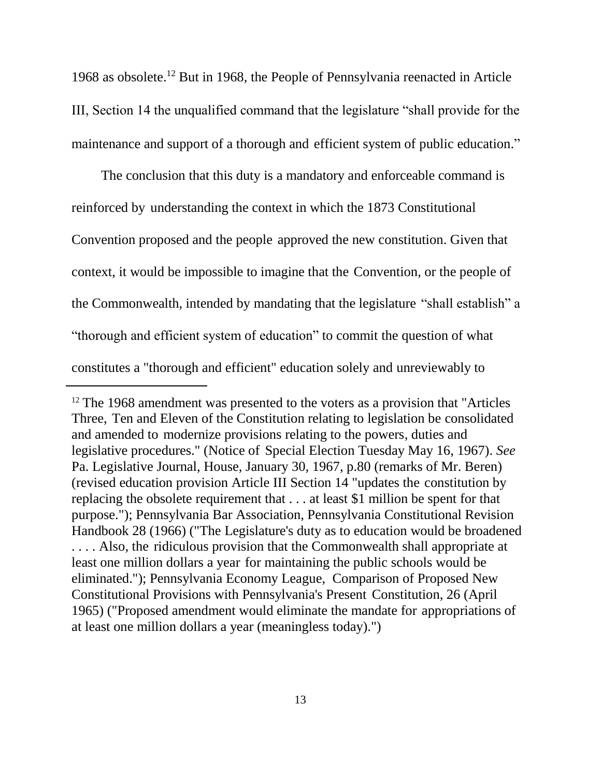1968 as obsolete.<sup>12</sup> But in 1968, the People of Pennsylvania reenacted in Article III, Section 14 the unqualified command that the legislature "shall provide for the maintenance and support of a thorough and efficient system of public education."

The conclusion that this duty is a mandatory and enforceable command is reinforced by understanding the context in which the 1873 Constitutional Convention proposed and the people approved the new constitution. Given that context, it would be impossible to imagine that the Convention, or the people of the Commonwealth, intended by mandating that the legislature "shall establish" a "thorough and efficient system of education" to commit the question of what constitutes a "thorough and efficient" education solely and unreviewably to

 $\overline{a}$ 

<sup>&</sup>lt;sup>12</sup> The 1968 amendment was presented to the voters as a provision that "Articles" Three, Ten and Eleven of the Constitution relating to legislation be consolidated and amended to modernize provisions relating to the powers, duties and legislative procedures." (Notice of Special Election Tuesday May 16, 1967). *See* Pa. Legislative Journal, House, January 30, 1967, p.80 (remarks of Mr. Beren) (revised education provision Article III Section 14 "updates the constitution by replacing the obsolete requirement that . . . at least \$1 million be spent for that purpose."); Pennsylvania Bar Association, Pennsylvania Constitutional Revision Handbook 28 (1966) ("The Legislature's duty as to education would be broadened . . . . Also, the ridiculous provision that the Commonwealth shall appropriate at least one million dollars a year for maintaining the public schools would be eliminated."); Pennsylvania Economy League, Comparison of Proposed New Constitutional Provisions with Pennsylvania's Present Constitution, 26 (April 1965) ("Proposed amendment would eliminate the mandate for appropriations of at least one million dollars a year (meaningless today).")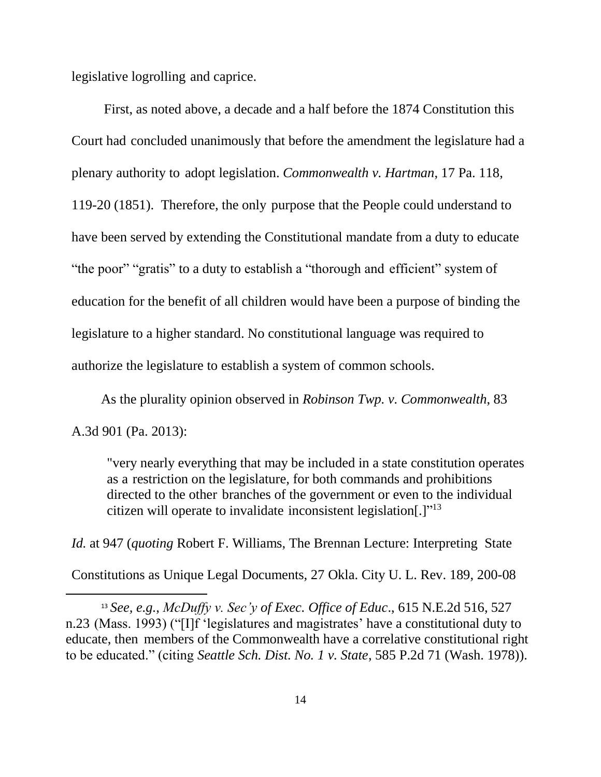legislative logrolling and caprice.

 $\overline{a}$ 

First, as noted above, a decade and a half before the 1874 Constitution this Court had concluded unanimously that before the amendment the legislature had a plenary authority to adopt legislation. *Commonwealth v. Hartman*, 17 Pa. 118, 119-20 (1851). Therefore, the only purpose that the People could understand to have been served by extending the Constitutional mandate from a duty to educate "the poor" "gratis" to a duty to establish a "thorough and efficient" system of education for the benefit of all children would have been a purpose of binding the legislature to a higher standard. No constitutional language was required to authorize the legislature to establish a system of common schools.

As the plurality opinion observed in *Robinson Twp. v. Commonwealth*, 83 A.3d 901 (Pa. 2013):

"very nearly everything that may be included in a state constitution operates as a restriction on the legislature, for both commands and prohibitions directed to the other branches of the government or even to the individual citizen will operate to invalidate inconsistent legislation[.]"<sup>13</sup>

*Id.* at 947 (*quoting* Robert F. Williams, The Brennan Lecture: Interpreting State Constitutions as Unique Legal Documents, 27 Okla. City U. L. Rev. 189, 200-08

<sup>13</sup> *See, e.g.*, *McDuffy v. Sec'y of Exec. Office of Educ*., 615 N.E.2d 516, 527 n.23 (Mass. 1993) ("[I]f 'legislatures and magistrates' have a constitutional duty to educate, then members of the Commonwealth have a correlative constitutional right to be educated." (citing *Seattle Sch. Dist. No. 1 v. State*, 585 P.2d 71 (Wash. 1978)).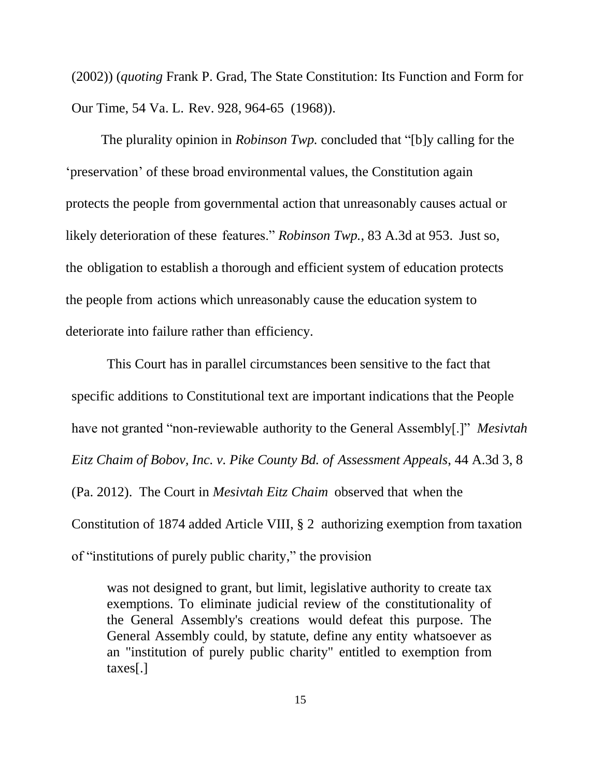(2002)) (*quoting* Frank P. Grad, The State Constitution: Its Function and Form for Our Time, 54 Va. L. Rev. 928, 964-65 (1968)).

The plurality opinion in *Robinson Twp.* concluded that "[b]y calling for the 'preservation' of these broad environmental values, the Constitution again protects the people from governmental action that unreasonably causes actual or likely deterioration of these features." *Robinson Twp.*, 83 A.3d at 953. Just so, the obligation to establish a thorough and efficient system of education protects the people from actions which unreasonably cause the education system to deteriorate into failure rather than efficiency.

This Court has in parallel circumstances been sensitive to the fact that specific additions to Constitutional text are important indications that the People have not granted "non-reviewable authority to the General Assembly[.]" *Mesivtah Eitz Chaim of Bobov, Inc. v. Pike County Bd. of Assessment Appeals*, 44 A.3d 3, 8 (Pa. 2012). The Court in *Mesivtah Eitz Chaim* observed that when the Constitution of 1874 added Article VIII, § 2 authorizing exemption from taxation of "institutions of purely public charity," the provision

was not designed to grant, but limit, legislative authority to create tax exemptions. To eliminate judicial review of the constitutionality of the General Assembly's creations would defeat this purpose. The General Assembly could, by statute, define any entity whatsoever as an "institution of purely public charity" entitled to exemption from taxes[.]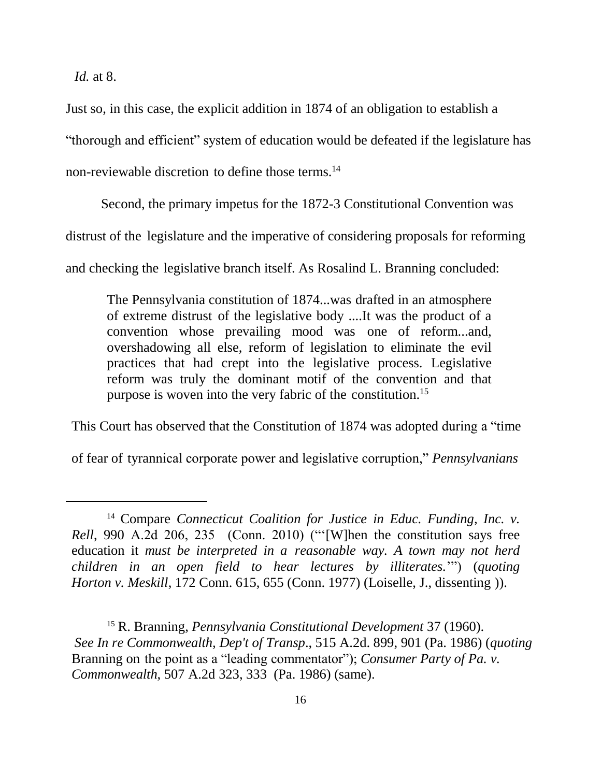*Id.* at 8.

 $\overline{a}$ 

Just so, in this case, the explicit addition in 1874 of an obligation to establish a "thorough and efficient" system of education would be defeated if the legislature has non-reviewable discretion to define those terms.<sup>14</sup>

Second, the primary impetus for the 1872-3 Constitutional Convention was

distrust of the legislature and the imperative of considering proposals for reforming

and checking the legislative branch itself. As Rosalind L. Branning concluded:

The Pennsylvania constitution of 1874...was drafted in an atmosphere of extreme distrust of the legislative body ....It was the product of a convention whose prevailing mood was one of reform...and, overshadowing all else, reform of legislation to eliminate the evil practices that had crept into the legislative process. Legislative reform was truly the dominant motif of the convention and that purpose is woven into the very fabric of the constitution.<sup>15</sup>

This Court has observed that the Constitution of 1874 was adopted during a "time

of fear of tyrannical corporate power and legislative corruption," *Pennsylvanians*

<sup>14</sup> Compare *Connecticut Coalition for Justice in Educ. Funding, Inc. v. Rell*, 990 A.2d 206, 235 (Conn. 2010) ("'[W]hen the constitution says free education it *must be interpreted in a reasonable way. A town may not herd children in an open field to hear lectures by illiterates.*'") (*quoting Horton v. Meskill*, 172 Conn. 615, 655 (Conn. 1977) (Loiselle, J., dissenting )).

<sup>15</sup> R. Branning, *Pennsylvania Constitutional Development* 37 (1960). *See In re Commonwealth, Dep't of Transp*., 515 A.2d. 899, 901 (Pa. 1986) (*quoting* Branning on the point as a "leading commentator"); *Consumer Party of Pa. v. Commonwealth*, 507 A.2d 323, 333 (Pa. 1986) (same).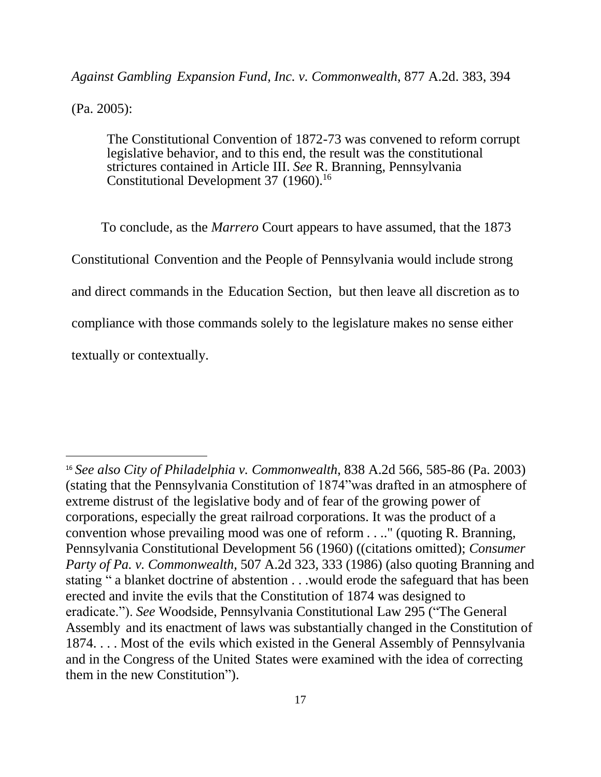#### *Against Gambling Expansion Fund, Inc. v. Commonwealth*, 877 A.2d. 383, 394

(Pa. 2005):

 $\overline{a}$ 

The Constitutional Convention of 1872-73 was convened to reform corrupt legislative behavior, and to this end, the result was the constitutional strictures contained in Article III. *See* R. Branning, Pennsylvania Constitutional Development 37 (1960). 16

To conclude, as the *Marrero* Court appears to have assumed, that the 1873 Constitutional Convention and the People of Pennsylvania would include strong and direct commands in the Education Section, but then leave all discretion as to compliance with those commands solely to the legislature makes no sense either textually or contextually.

<sup>16</sup> *See also City of Philadelphia v. Commonwealth*, 838 A.2d 566, 585-86 (Pa. 2003) (stating that the Pennsylvania Constitution of 1874"was drafted in an atmosphere of extreme distrust of the legislative body and of fear of the growing power of corporations, especially the great railroad corporations. It was the product of a convention whose prevailing mood was one of reform . . .." (quoting R. Branning, Pennsylvania Constitutional Development 56 (1960) ((citations omitted); *Consumer Party of Pa. v. Commonwealth,* 507 A.2d 323, 333 (1986) (also quoting Branning and stating " a blanket doctrine of abstention . . .would erode the safeguard that has been erected and invite the evils that the Constitution of 1874 was designed to eradicate."). *See* Woodside, Pennsylvania Constitutional Law 295 ("The General Assembly and its enactment of laws was substantially changed in the Constitution of 1874. . . . Most of the evils which existed in the General Assembly of Pennsylvania and in the Congress of the United States were examined with the idea of correcting them in the new Constitution").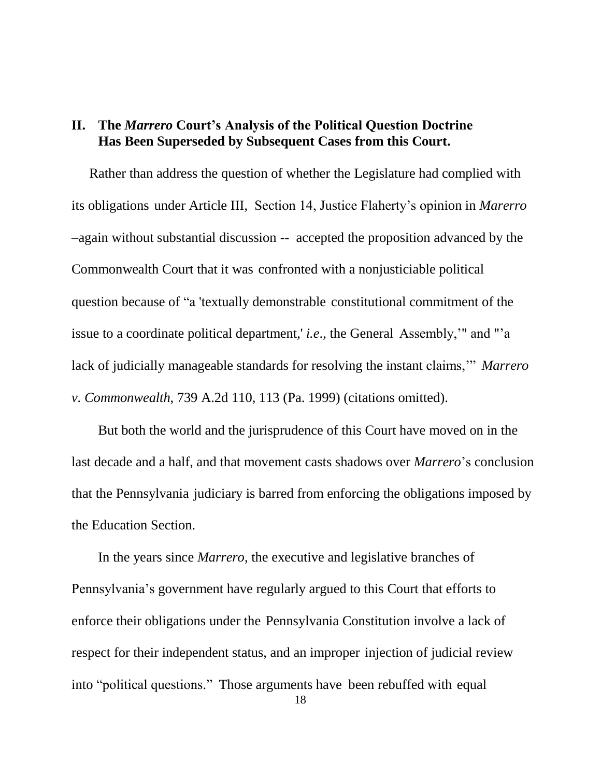### **II. The** *Marrero* **Court's Analysis of the Political Question Doctrine Has Been Superseded by Subsequent Cases from this Court.**

Rather than address the question of whether the Legislature had complied with its obligations under Article III, Section 14, Justice Flaherty's opinion in *Marerro*  –again without substantial discussion -- accepted the proposition advanced by the Commonwealth Court that it was confronted with a nonjusticiable political question because of "a 'textually demonstrable constitutional commitment of the issue to a coordinate political department,' *i.e*., the General Assembly,'" and "'a lack of judicially manageable standards for resolving the instant claims,'" *Marrero v. Commonwealth*, 739 A.2d 110, 113 (Pa. 1999) (citations omitted).

But both the world and the jurisprudence of this Court have moved on in the last decade and a half, and that movement casts shadows over *Marrero*'s conclusion that the Pennsylvania judiciary is barred from enforcing the obligations imposed by the Education Section.

In the years since *Marrero*, the executive and legislative branches of Pennsylvania's government have regularly argued to this Court that efforts to enforce their obligations under the Pennsylvania Constitution involve a lack of respect for their independent status, and an improper injection of judicial review into "political questions." Those arguments have been rebuffed with equal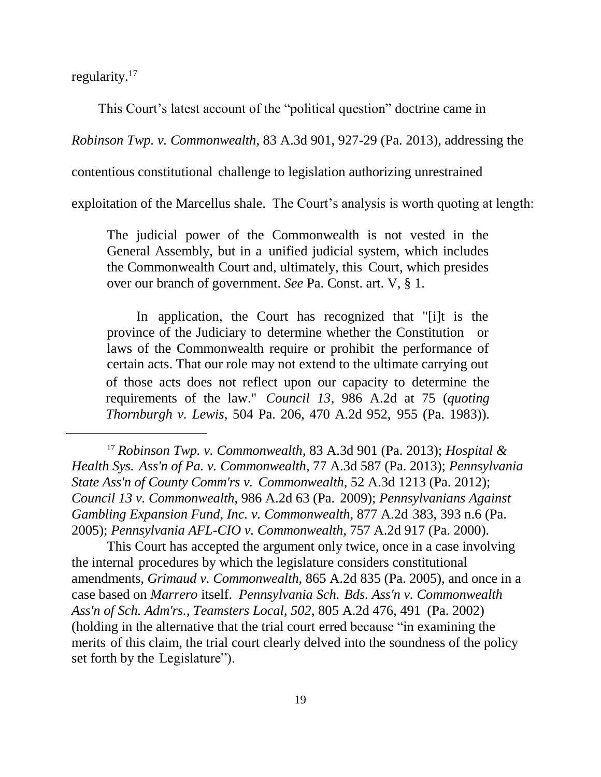regularity.<sup>17</sup>

 $\overline{a}$ 

This Court's latest account of the "political question" doctrine came in

*Robinson Twp. v. Commonwealth*, 83 A.3d 901, 927-29 (Pa. 2013), addressing the

contentious constitutional challenge to legislation authorizing unrestrained

exploitation of the Marcellus shale. The Court's analysis is worth quoting at length:

The judicial power of the Commonwealth is not vested in the General Assembly, but in a unified judicial system, which includes the Commonwealth Court and, ultimately, this Court, which presides over our branch of government. *See* Pa. Const. art. V, § 1.

In application, the Court has recognized that "[i]t is the province of the Judiciary to determine whether the Constitution or laws of the Commonwealth require or prohibit the performance of certain acts. That our role may not extend to the ultimate carrying out of those acts does not reflect upon our capacity to determine the requirements of the law." *Council 13*, 986 A.2d at 75 (*quoting Thornburgh v. Lewis*, 504 Pa. 206, 470 A.2d 952, 955 (Pa. 1983)).

<sup>17</sup> *Robinson Twp. v. Commonwealth*, 83 A.3d 901 (Pa. 2013); *Hospital & Health Sys. Ass'n of Pa. v. Commonwealth*, 77 A.3d 587 (Pa. 2013); *Pennsylvania State Ass'n of County Comm'rs v. Commonwealth*, 52 A.3d 1213 (Pa. 2012); *Council 13 v. Commonwealth*, 986 A.2d 63 (Pa. 2009); *Pennsylvanians Against Gambling Expansion Fund, Inc. v. Commonwealth*, 877 A.2d 383, 393 n.6 (Pa. 2005); *Pennsylvania AFL-CIO v. Commonwealth*, 757 A.2d 917 (Pa. 2000).

This Court has accepted the argument only twice, once in a case involving the internal procedures by which the legislature considers constitutional amendments, *Grimaud v. Commonwealth*, 865 A.2d 835 (Pa. 2005), and once in a case based on *Marrero* itself. *Pennsylvania Sch. Bds. Ass'n v. Commonwealth Ass'n of Sch. Adm'rs., Teamsters Local*, *502*, 805 A.2d 476, 491 (Pa. 2002) (holding in the alternative that the trial court erred because "in examining the merits of this claim, the trial court clearly delved into the soundness of the policy set forth by the Legislature").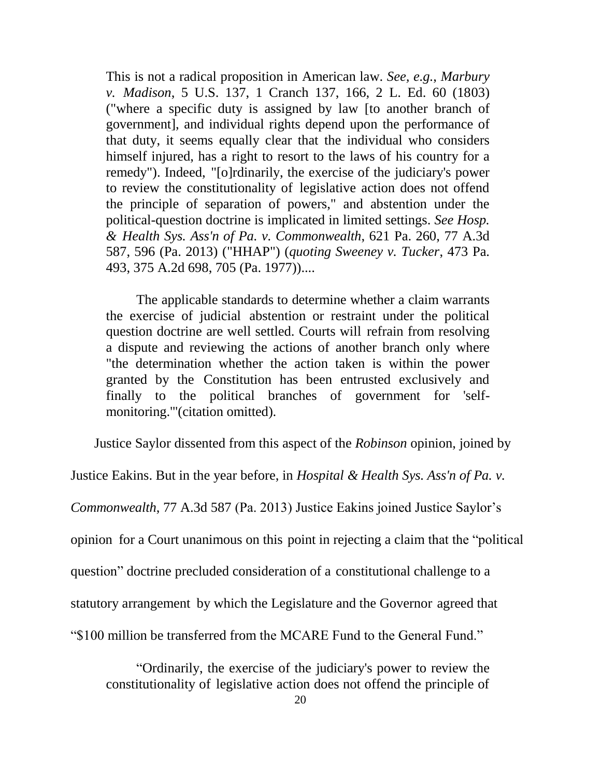This is not a radical proposition in American law. *See, e.g.*, *Marbury v. Madison*, 5 U.S. 137, 1 Cranch 137, 166, 2 L. Ed. 60 (1803) ("where a specific duty is assigned by law [to another branch of government], and individual rights depend upon the performance of that duty, it seems equally clear that the individual who considers himself injured, has a right to resort to the laws of his country for a remedy"). Indeed, "[o]rdinarily, the exercise of the judiciary's power to review the constitutionality of legislative action does not offend the principle of separation of powers," and abstention under the political-question doctrine is implicated in limited settings. *See Hosp. & Health Sys. Ass'n of Pa. v. Commonwealth*, 621 Pa. 260, 77 A.3d 587, 596 (Pa. 2013) ("HHAP") (*quoting Sweeney v. Tucker*, 473 Pa. 493, 375 A.2d 698, 705 (Pa. 1977))....

The applicable standards to determine whether a claim warrants the exercise of judicial abstention or restraint under the political question doctrine are well settled. Courts will refrain from resolving a dispute and reviewing the actions of another branch only where "the determination whether the action taken is within the power granted by the Constitution has been entrusted exclusively and finally to the political branches of government for 'selfmonitoring.'"(citation omitted).

Justice Saylor dissented from this aspect of the *Robinson* opinion, joined by

Justice Eakins. But in the year before, in *Hospital & Health Sys. Ass'n of Pa. v.* 

*Commonwealth*, 77 A.3d 587 (Pa. 2013) Justice Eakins joined Justice Saylor's

opinion for a Court unanimous on this point in rejecting a claim that the "political

question" doctrine precluded consideration of a constitutional challenge to a

statutory arrangement by which the Legislature and the Governor agreed that

"\$100 million be transferred from the MCARE Fund to the General Fund."

"Ordinarily, the exercise of the judiciary's power to review the constitutionality of legislative action does not offend the principle of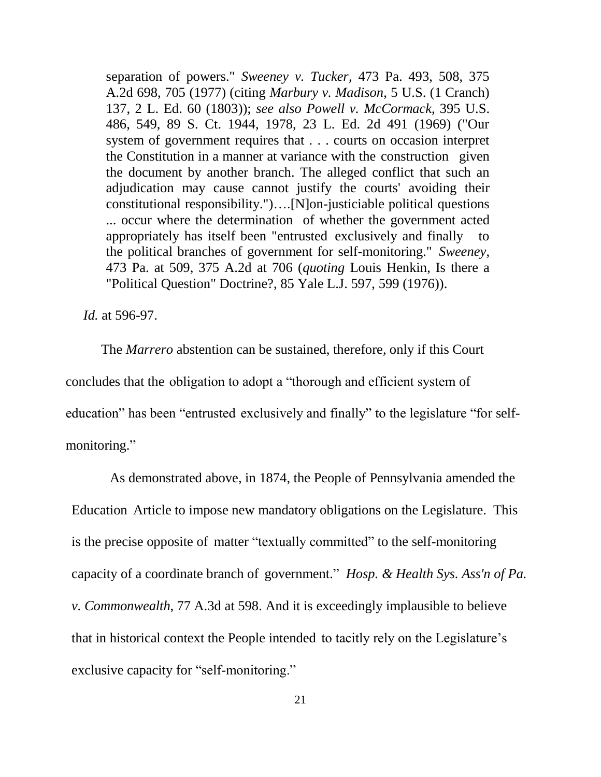separation of powers." *Sweeney v. Tucker*, 473 Pa. 493, 508, 375 A.2d 698, 705 (1977) (citing *Marbury v. Madison*, 5 U.S. (1 Cranch) 137, 2 L. Ed. 60 (1803)); *see also Powell v. McCormack*, 395 U.S. 486, 549, 89 S. Ct. 1944, 1978, 23 L. Ed. 2d 491 (1969) ("Our system of government requires that . . . courts on occasion interpret the Constitution in a manner at variance with the construction given the document by another branch. The alleged conflict that such an adjudication may cause cannot justify the courts' avoiding their constitutional responsibility.")….[N]on-justiciable political questions ... occur where the determination of whether the government acted appropriately has itself been "entrusted exclusively and finally to the political branches of government for self-monitoring." *Sweeney*, 473 Pa. at 509, 375 A.2d at 706 (*quoting* Louis Henkin, Is there a "Political Question" Doctrine?, 85 Yale L.J. 597, 599 (1976)).

*Id.* at 596-97.

The *Marrero* abstention can be sustained, therefore, only if this Court concludes that the obligation to adopt a "thorough and efficient system of education" has been "entrusted exclusively and finally" to the legislature "for selfmonitoring."

As demonstrated above, in 1874, the People of Pennsylvania amended the Education Article to impose new mandatory obligations on the Legislature. This is the precise opposite of matter "textually committed" to the self-monitoring capacity of a coordinate branch of government." *Hosp. & Health Sys. Ass'n of Pa. v. Commonwealth*, 77 A.3d at 598. And it is exceedingly implausible to believe that in historical context the People intended to tacitly rely on the Legislature's exclusive capacity for "self-monitoring."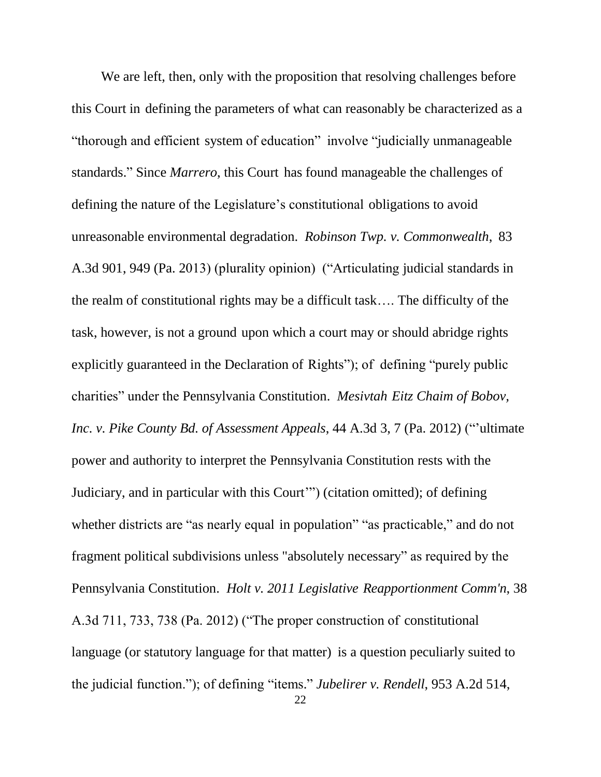We are left, then, only with the proposition that resolving challenges before this Court in defining the parameters of what can reasonably be characterized as a "thorough and efficient system of education" involve "judicially unmanageable standards." Since *Marrero*, this Court has found manageable the challenges of defining the nature of the Legislature's constitutional obligations to avoid unreasonable environmental degradation. *Robinson Twp. v. Commonwealth*, 83 A.3d 901, 949 (Pa. 2013) (plurality opinion) ("Articulating judicial standards in the realm of constitutional rights may be a difficult task…. The difficulty of the task, however, is not a ground upon which a court may or should abridge rights explicitly guaranteed in the Declaration of Rights"); of defining "purely public charities" under the Pennsylvania Constitution. *Mesivtah Eitz Chaim of Bobov, Inc. v. Pike County Bd. of Assessment Appeals*, 44 A.3d 3, 7 (Pa. 2012) ("'ultimate power and authority to interpret the Pennsylvania Constitution rests with the Judiciary, and in particular with this Court'") (citation omitted); of defining whether districts are "as nearly equal in population" "as practicable," and do not fragment political subdivisions unless "absolutely necessary" as required by the Pennsylvania Constitution. *Holt v. 2011 Legislative Reapportionment Comm'n*, 38 A.3d 711, 733, 738 (Pa. 2012) ("The proper construction of constitutional language (or statutory language for that matter) is a question peculiarly suited to the judicial function."); of defining "items." *Jubelirer v. Rendell*, 953 A.2d 514,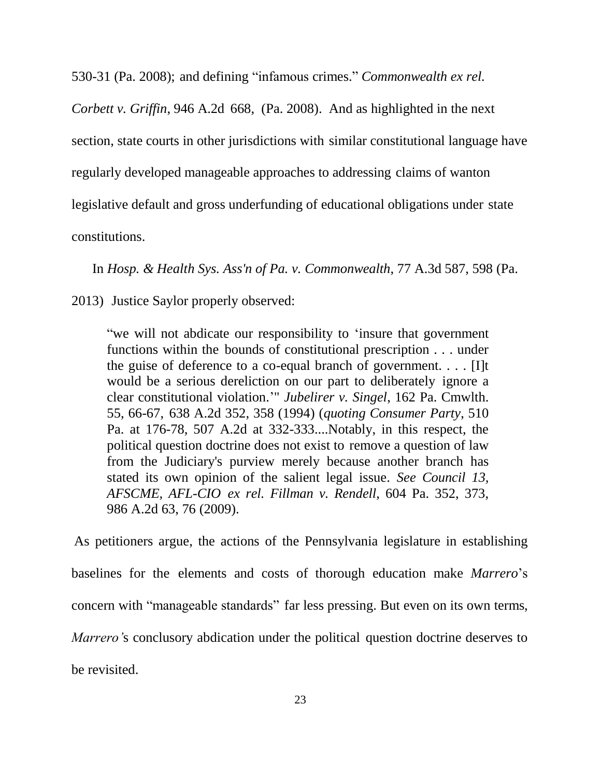530-31 (Pa. 2008); and defining "infamous crimes." *Commonwealth ex rel.* 

*Corbett v. Griffin*, 946 A.2d 668, (Pa. 2008). And as highlighted in the next section, state courts in other jurisdictions with similar constitutional language have regularly developed manageable approaches to addressing claims of wanton legislative default and gross underfunding of educational obligations under state constitutions.

In *Hosp. & Health Sys. Ass'n of Pa. v. Commonwealth*, 77 A.3d 587, 598 (Pa.

2013) Justice Saylor properly observed:

"we will not abdicate our responsibility to 'insure that government functions within the bounds of constitutional prescription . . . under the guise of deference to a co-equal branch of government. . . . [I]t would be a serious dereliction on our part to deliberately ignore a clear constitutional violation.'" *Jubelirer v. Singel*, 162 Pa. Cmwlth. 55, 66-67, 638 A.2d 352, 358 (1994) (*quoting Consumer Party*, 510 Pa. at 176-78, 507 A.2d at 332-333....Notably, in this respect, the political question doctrine does not exist to remove a question of law from the Judiciary's purview merely because another branch has stated its own opinion of the salient legal issue. *See Council 13, AFSCME, AFL-CIO ex rel. Fillman v. Rendell*, 604 Pa. 352, 373, 986 A.2d 63, 76 (2009).

As petitioners argue, the actions of the Pennsylvania legislature in establishing baselines for the elements and costs of thorough education make *Marrero*'s concern with "manageable standards" far less pressing. But even on its own terms, *Marrero'*s conclusory abdication under the political question doctrine deserves to be revisited.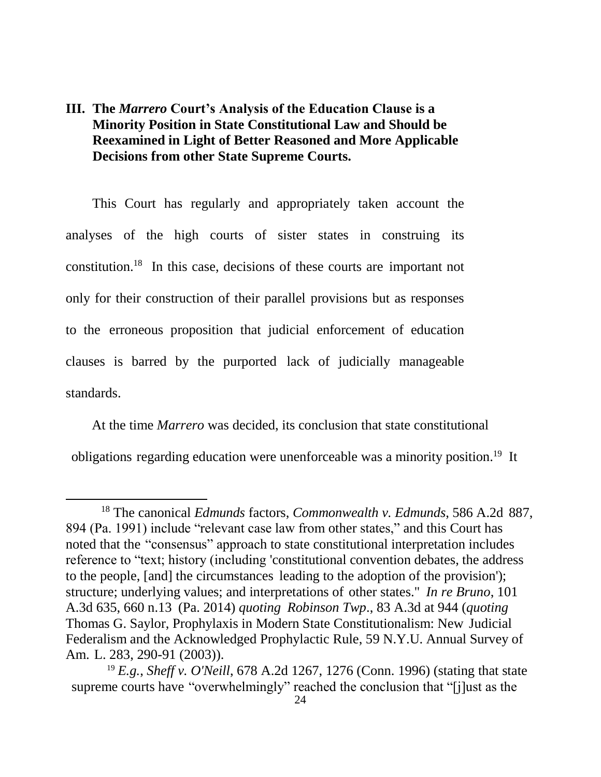### **III. The** *Marrero* **Court's Analysis of the Education Clause is a Minority Position in State Constitutional Law and Should be Reexamined in Light of Better Reasoned and More Applicable Decisions from other State Supreme Courts.**

This Court has regularly and appropriately taken account the analyses of the high courts of sister states in construing its constitution. <sup>18</sup> In this case, decisions of these courts are important not only for their construction of their parallel provisions but as responses to the erroneous proposition that judicial enforcement of education clauses is barred by the purported lack of judicially manageable standards.

At the time *Marrero* was decided, its conclusion that state constitutional obligations regarding education were unenforceable was a minority position. <sup>19</sup> It

 $\overline{a}$ 

<sup>18</sup> The canonical *Edmunds* factors, *Commonwealth v. Edmunds*, 586 A.2d 887, 894 (Pa. 1991) include "relevant case law from other states," and this Court has noted that the "consensus" approach to state constitutional interpretation includes reference to "text; history (including 'constitutional convention debates, the address to the people, [and] the circumstances leading to the adoption of the provision'); structure; underlying values; and interpretations of other states." *In re Bruno*, 101 A.3d 635, 660 n.13 (Pa. 2014) *quoting Robinson Twp*., 83 A.3d at 944 (*quoting* Thomas G. Saylor, Prophylaxis in Modern State Constitutionalism: New Judicial Federalism and the Acknowledged Prophylactic Rule, 59 N.Y.U. Annual Survey of Am. L. 283, 290-91 (2003)).

<sup>19</sup> *E.g.*, *Sheff v. O'Neill*, 678 A.2d 1267, 1276 (Conn. 1996) (stating that state supreme courts have "overwhelmingly" reached the conclusion that "[j]ust as the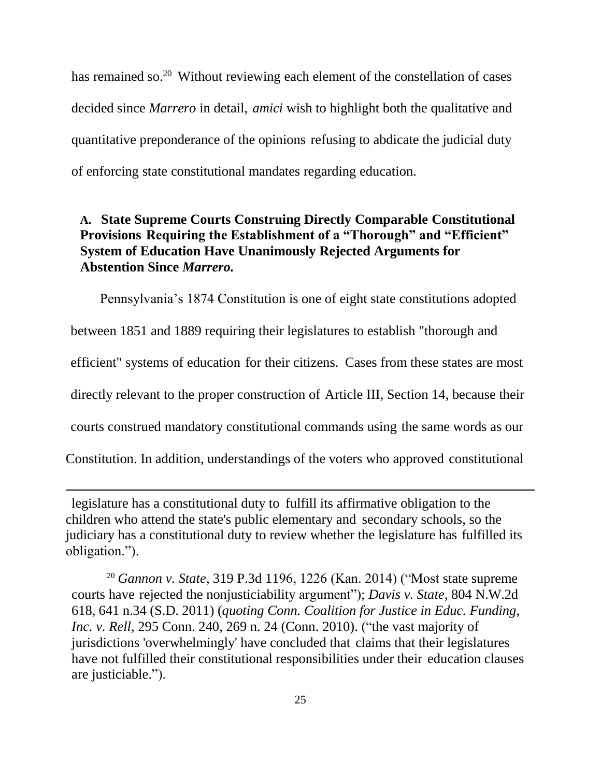has remained so.<sup>20</sup> Without reviewing each element of the constellation of cases decided since *Marrero* in detail, *amici* wish to highlight both the qualitative and quantitative preponderance of the opinions refusing to abdicate the judicial duty of enforcing state constitutional mandates regarding education.

### **A. State Supreme Courts Construing Directly Comparable Constitutional Provisions Requiring the Establishment of a "Thorough" and "Efficient" System of Education Have Unanimously Rejected Arguments for Abstention Since** *Marrero.*

Pennsylvania's 1874 Constitution is one of eight state constitutions adopted between 1851 and 1889 requiring their legislatures to establish "thorough and efficient" systems of education for their citizens. Cases from these states are most directly relevant to the proper construction of Article III, Section 14, because their courts construed mandatory constitutional commands using the same words as our Constitution. In addition, understandings of the voters who approved constitutional

legislature has a constitutional duty to fulfill its affirmative obligation to the children who attend the state's public elementary and secondary schools, so the judiciary has a constitutional duty to review whether the legislature has fulfilled its obligation.").

 $\overline{a}$ 

<sup>20</sup> *Gannon v. State*, 319 P.3d 1196, 1226 (Kan. 2014) ("Most state supreme courts have rejected the nonjusticiability argument"); *Davis v. State*, 804 N.W.2d 618, 641 n.34 (S.D. 2011) (*quoting Conn. Coalition for Justice in Educ. Funding, Inc. v. Rell,* 295 Conn. 240, 269 n. 24 (Conn. 2010). ("the vast majority of jurisdictions 'overwhelmingly' have concluded that claims that their legislatures have not fulfilled their constitutional responsibilities under their education clauses are justiciable.").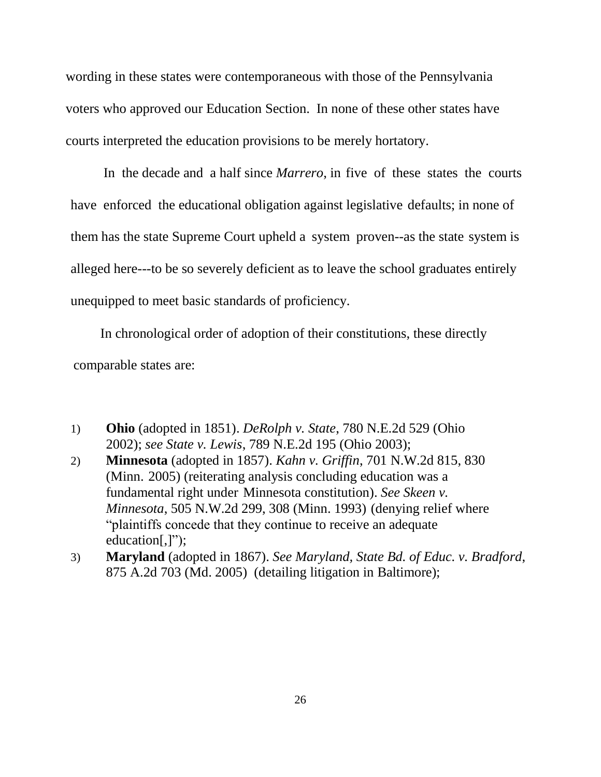wording in these states were contemporaneous with those of the Pennsylvania voters who approved our Education Section. In none of these other states have courts interpreted the education provisions to be merely hortatory.

In the decade and a half since *Marrero*, in five of these states the courts have enforced the educational obligation against legislative defaults; in none of them has the state Supreme Court upheld a system proven--as the state system is alleged here---to be so severely deficient as to leave the school graduates entirely unequipped to meet basic standards of proficiency.

In chronological order of adoption of their constitutions, these directly comparable states are:

- 1) **Ohio** (adopted in 1851). *DeRolph v. State*, 780 N.E.2d 529 (Ohio 2002); *see State v. Lewis*, 789 N.E.2d 195 (Ohio 2003);
- 2) **Minnesota** (adopted in 1857). *Kahn v. Griffin*, 701 N.W.2d 815, 830 (Minn. 2005) (reiterating analysis concluding education was a fundamental right under Minnesota constitution). *See Skeen v. Minnesota*, 505 N.W.2d 299, 308 (Minn. 1993) (denying relief where "plaintiffs concede that they continue to receive an adequate education[,]");
- 3) **Maryland** (adopted in 1867). *See Maryland, State Bd. of Educ. v. Bradford*, 875 A.2d 703 (Md. 2005) (detailing litigation in Baltimore);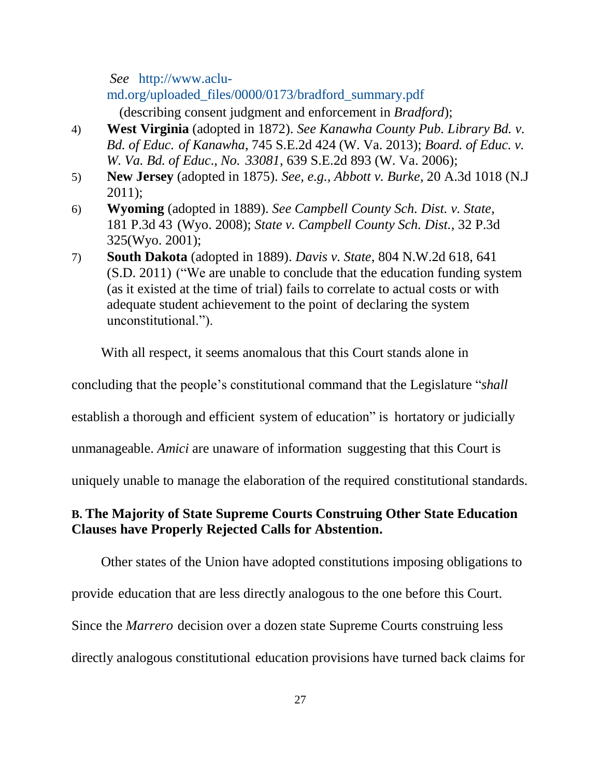*[See](http://www.aclu-md.org/uploaded_files/0000/0173/bradford_summary.pdf)* [http://www.aclu](http://www.aclu-md.org/uploaded_files/0000/0173/bradford_summary.pdf)[md.org/uploaded\\_files/0000/0173/bradford\\_summary.pdf](http://www.aclu-md.org/uploaded_files/0000/0173/bradford_summary.pdf)

(describing consent judgment and enforcement in *Bradford*);

- 4) **West Virginia** (adopted in 1872). *See Kanawha County Pub. Library Bd. v. Bd. of Educ. of Kanawha*, 745 S.E.2d 424 (W. Va. 2013); *Board. of Educ. v. W. Va. Bd. of Educ*., *No. 33081,* 639 S.E.2d 893 (W. Va. 2006);
- 5) **New Jersey** (adopted in 1875). *See, e.g., Abbott v. Burke*, 20 A.3d 1018 (N.J 2011);
- 6) **Wyoming** (adopted in 1889). *See Campbell County Sch. Dist. v. State*, 181 P.3d 43 (Wyo. 2008); *State v. Campbell County Sch. Dist.*, 32 P.3d 325(Wyo. 2001);
- 7) **South Dakota** (adopted in 1889). *Davis v. State*, 804 N.W.2d 618, 641 (S.D. 2011) ("We are unable to conclude that the education funding system (as it existed at the time of trial) fails to correlate to actual costs or with adequate student achievement to the point of declaring the system unconstitutional.").

With all respect, it seems anomalous that this Court stands alone in

concluding that the people's constitutional command that the Legislature "*shall*

establish a thorough and efficient system of education" is hortatory or judicially

unmanageable. *Amici* are unaware of information suggesting that this Court is

uniquely unable to manage the elaboration of the required constitutional standards.

### **B. The Majority of State Supreme Courts Construing Other State Education Clauses have Properly Rejected Calls for Abstention.**

Other states of the Union have adopted constitutions imposing obligations to provide education that are less directly analogous to the one before this Court. Since the *Marrero* decision over a dozen state Supreme Courts construing less directly analogous constitutional education provisions have turned back claims for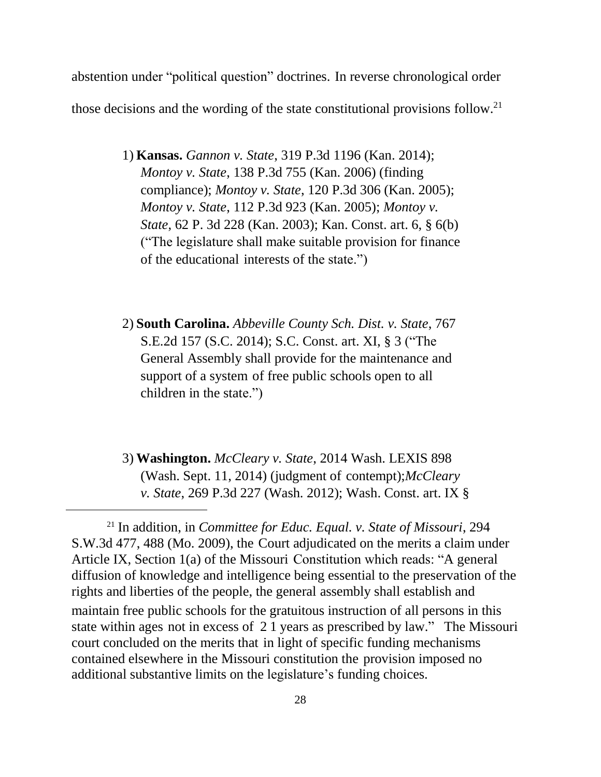abstention under "political question" doctrines. In reverse chronological order those decisions and the wording of the state constitutional provisions follow.<sup>21</sup>

- 1) **Kansas.** *Gannon v. State*, 319 P.3d 1196 (Kan. 2014); *Montoy v. State*, 138 P.3d 755 (Kan. 2006) (finding compliance); *Montoy v. State*, 120 P.3d 306 (Kan. 2005); *Montoy v. State*, 112 P.3d 923 (Kan. 2005); *Montoy v. State*, 62 P. 3d 228 (Kan. 2003); Kan. Const. art. 6, § 6(b) ("The legislature shall make suitable provision for finance of the educational interests of the state.")
- 2) **South Carolina.** *Abbeville County Sch. Dist. v. State*, 767 S.E.2d 157 (S.C. 2014); S.C. Const. art. XI, § 3 ("The General Assembly shall provide for the maintenance and support of a system of free public schools open to all children in the state.")
- 3) **Washington.** *McCleary v. State*, 2014 Wash. LEXIS 898 (Wash. Sept. 11, 2014) (judgment of contempt);*McCleary v. State*, 269 P.3d 227 (Wash. 2012); [Wash. Const. art. IX §](http://www.lexis.com/research/buttonTFLink?_m=4d3010dbac63abf7bea21bafdefefe56&_xfercite=%3ccite%20cc%3d%22USA%22%3e%3c%21%5bCDATA%5b2009%20U.S.%20Dist.%20LEXIS%2091743%5d%5d%3e%3c%2fcite%3e&_butType=4&_butStat=0&_butNum=28&_butInline=1&_butinfo=WASH.%20CONST.%20IX%201&_fmtstr=FULL&docnum=4&_startdoc=1&wchp=dGLbVzt-zSkAA&_md5=dc79204a60b9cab8603710e5ebeccf00)

 $\overline{a}$ 

<sup>21</sup> In addition, in *Committee for Educ. Equal. v. State of Missouri*, 294 S.W.3d 477, 488 (Mo. 2009), the Court adjudicated on the merits a claim under Article IX, Section 1(a) of the Missouri Constitution which reads: "A general diffusion of knowledge and intelligence being essential to the preservation of the rights and liberties of the people, the general assembly shall establish and maintain free public schools for the gratuitous instruction of all persons in this state within ages not in excess of 2 1 years as prescribed by law." The Missouri court concluded on the merits that in light of specific funding mechanisms contained elsewhere in the Missouri constitution the provision imposed no additional substantive limits on the legislature's funding choices.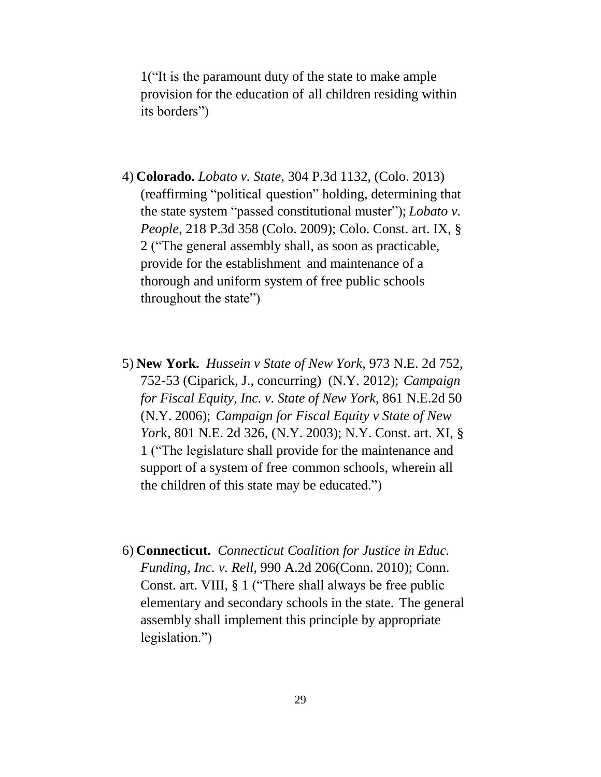[1\(](http://www.lexis.com/research/buttonTFLink?_m=4d3010dbac63abf7bea21bafdefefe56&_xfercite=%3ccite%20cc%3d%22USA%22%3e%3c%21%5bCDATA%5b2009%20U.S.%20Dist.%20LEXIS%2091743%5d%5d%3e%3c%2fcite%3e&_butType=4&_butStat=0&_butNum=28&_butInline=1&_butinfo=WASH.%20CONST.%20IX%201&_fmtstr=FULL&docnum=4&_startdoc=1&wchp=dGLbVzt-zSkAA&_md5=dc79204a60b9cab8603710e5ebeccf00)"It is the paramount duty of the state to make ample provision for the education of all children residing within its borders")

- 4) **Colorado.** *Lobato v. State*, 304 P.3d 1132, (Colo. 2013) (reaffirming "political question" holding, determining that the state system "passed constitutional muster"); *Lobato v. People*, 218 P.3d 358 (Colo. 2009); Colo. Const. art. IX, § 2 ("The general assembly shall, as soon as practicable, provide for the establishment and maintenance of a thorough and uniform system of free public schools throughout the state")
- 5) **New York.** *Hussein v State of New York*, 973 N.E. 2d 752, 752-53 (Ciparick, J., concurring) (N.Y. 2012); *Campaign for Fiscal Equity, Inc. v. State of New York*, 861 N.E.2d 50 (N.Y. 2006); *Campaign for Fiscal Equity v State of New Yor*k, 801 N.E. 2d 326, (N.Y. 2003); N.Y. Const. art. XI, § 1 ("The legislature shall provide for the maintenance and support of a system of free common schools, wherein all the children of this state may be educated.")
- 6) **Connecticut.** *Connecticut Coalition for Justice in Educ. Funding, Inc. v. Rell*, 990 A.2d 206(Conn. 2010); Conn. Const. art. VIII, § 1 ("There shall always be free public elementary and secondary schools in the state. The general assembly shall implement this principle by appropriate legislation.")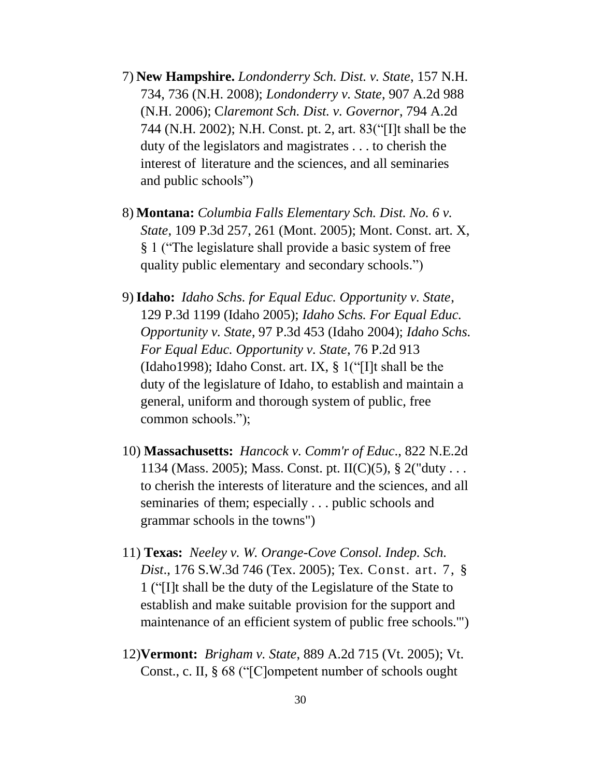- 7) **New Hampshire.** *Londonderry Sch. Dist. v. State*, 157 N.H. 734, 736 (N.H. 2008); *Londonderry v. State*, 907 A.2d 988 (N.H. 2006); C*laremont Sch. Dist. v. Governor*, 794 A.2d 744 (N.H. 2002); N.H. Const. pt. 2, art. 83("[I]t shall be the duty of the legislators and magistrates . . . to cherish the interest of literature and the sciences, and all seminaries and public schools")
- 8) **Montana:** *Columbia Falls Elementary Sch. Dist. No. 6 v. State*, 109 P.3d 257, 261 (Mont. 2005); Mont. Const. art. X, § 1 ("The legislature shall provide a basic system of free quality public elementary and secondary schools.")
- 9)**Idaho:** *Idaho Schs. for Equal Educ. Opportunity v. State*, 129 P.3d 1199 (Idaho 2005); *Idaho Schs. For Equal Educ. Opportunity v. State*, 97 P.3d 453 (Idaho 2004); *Idaho Schs. For Equal Educ. Opportunity v. State*, 76 P.2d 913 (Idaho1998); Idaho Const. art. IX, § 1("[I]t shall be the duty of the legislature of Idaho, to establish and maintain a general, uniform and thorough system of public, free common schools.");
- 10) **Massachusetts:** *Hancock v. Comm'r of Educ*., 822 N.E.2d 1134 (Mass. 2005); Mass. Const. pt. II(C)(5),  $\S 2$ ("duty... to cherish the interests of literature and the sciences, and all seminaries of them; especially . . . public schools and grammar schools in the towns")
- 11) **Texas:** *Neeley v. W. Orange-Cove Consol. Indep. Sch. Dist*., 176 S.W.3d 746 (Tex. 2005); Tex. Const. art. 7, § 1 ("[I]t shall be the duty of the Legislature of the State to establish and make suitable provision for the support and maintenance of an efficient system of public free schools.'")
- 12)**Vermont:** *Brigham v. State*, 889 A.2d 715 (Vt. 2005); Vt. Const., c. II, § 68 ("[C]ompetent number of schools ought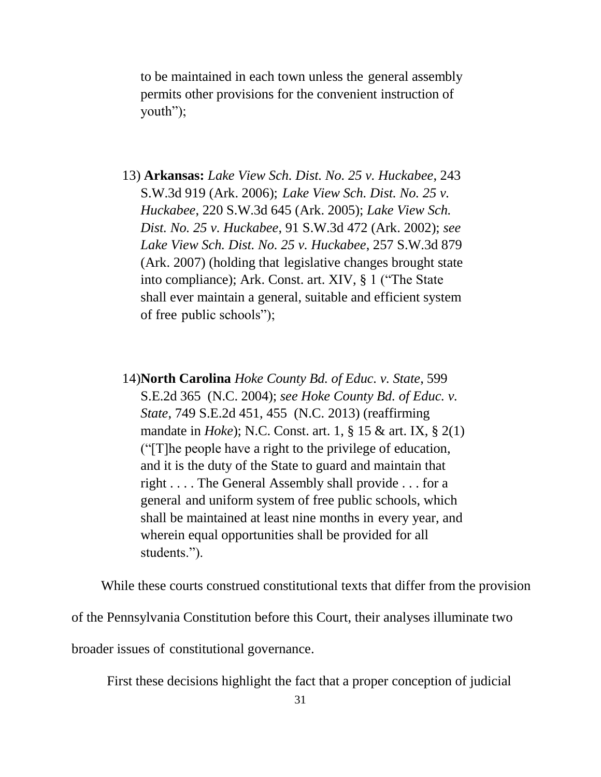to be maintained in each town unless the general assembly permits other provisions for the convenient instruction of youth");

- 13) **Arkansas:** *Lake View Sch. Dist. No. 25 v. Huckabee*, 243 S.W.3d 919 (Ark. 2006); *Lake View Sch. Dist. No. 25 v. Huckabee*, 220 S.W.3d 645 (Ark. 2005); *Lake View Sch. Dist. No. 25 v. Huckabee*, 91 S.W.3d 472 (Ark. 2002); *see Lake View Sch. Dist. No. 25 v. Huckabee*, 257 S.W.3d 879 (Ark. 2007) (holding that legislative changes brought state into compliance); Ark. Const. art. XIV, § 1 ("The State shall ever maintain a general, suitable and efficient system of free public schools");
- 14)**North Carolina** *Hoke County Bd. of Educ. v. State*, 599 S.E.2d 365 (N.C. 2004); *see Hoke County Bd. of Educ. v. State*, 749 S.E.2d 451, 455 (N.C. 2013) (reaffirming mandate in *Hoke*); N.C. Const. art. 1, § 15 & art. IX, § 2(1) ("[T]he people have a right to the privilege of education, and it is the duty of the State to guard and maintain that right . . . . The General Assembly shall provide . . . for a general and uniform system of free public schools, which shall be maintained at least nine months in every year, and wherein equal opportunities shall be provided for all students.").

While these courts construed constitutional texts that differ from the provision of the Pennsylvania Constitution before this Court, their analyses illuminate two broader issues of constitutional governance.

First these decisions highlight the fact that a proper conception of judicial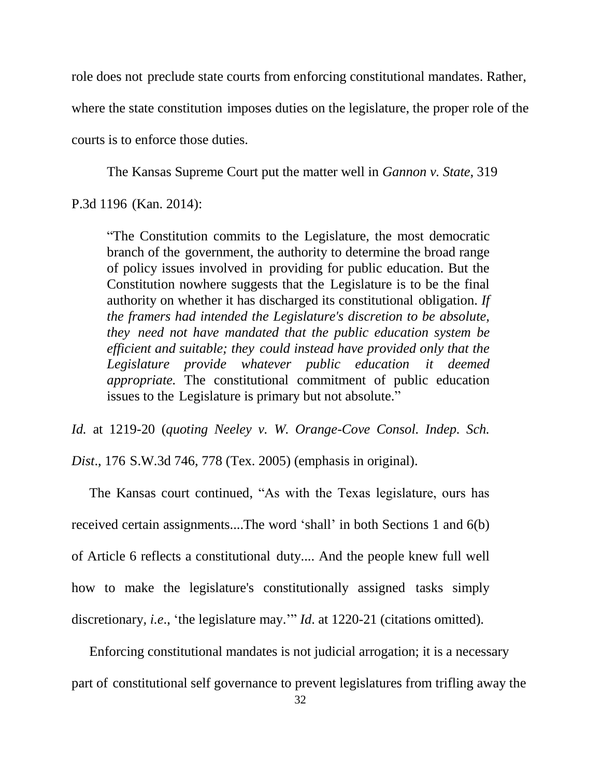role does not preclude state courts from enforcing constitutional mandates. Rather, where the state constitution imposes duties on the legislature, the proper role of the courts is to enforce those duties.

The Kansas Supreme Court put the matter well in *Gannon v. State*, 319

P.3d 1196 (Kan. 2014):

"The Constitution commits to the Legislature, the most democratic branch of the government, the authority to determine the broad range of policy issues involved in providing for public education. But the Constitution nowhere suggests that the Legislature is to be the final authority on whether it has discharged its constitutional obligation. *If the framers had intended the Legislature's discretion to be absolute, they need not have mandated that the public education system be efficient and suitable; they could instead have provided only that the Legislature provide whatever public education it deemed appropriate.* The constitutional commitment of public education issues to the Legislature is primary but not absolute."

*Id.* at 1219-20 (*quoting Neeley v. W. Orange-Cove Consol. Indep. Sch. Dist*., 176 S.W.3d 746, 778 (Tex. 2005) (emphasis in original).

The Kansas court continued, "As with the Texas legislature, ours has received certain assignments....The word 'shall' in both Sections 1 and 6(b) of Article 6 reflects a constitutional duty.... And the people knew full well how to make the legislature's constitutionally assigned tasks simply discretionary*, i.e*., 'the legislature may.'" *Id*. at 1220-21 (citations omitted).

Enforcing constitutional mandates is not judicial arrogation; it is a necessary part of constitutional self governance to prevent legislatures from trifling away the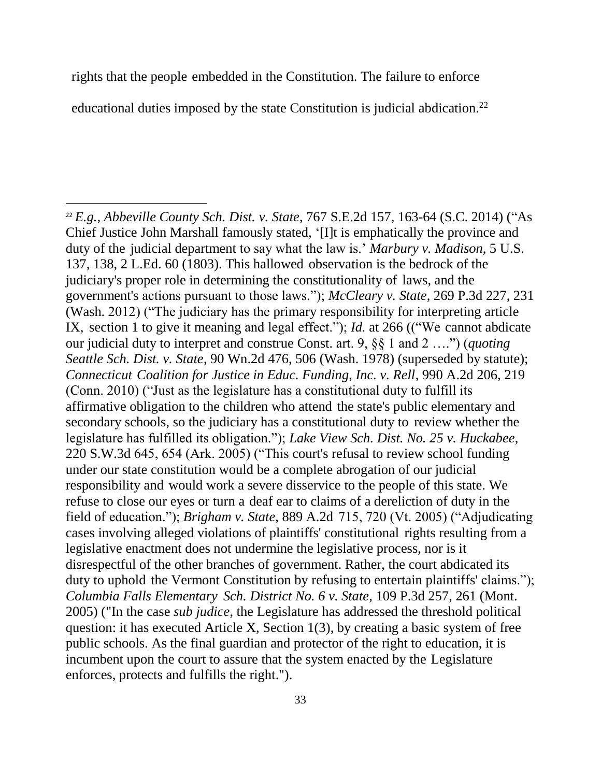rights that the people embedded in the Constitution. The failure to enforce

educational duties imposed by the state Constitution is judicial abdication.<sup>22</sup>

 $\overline{a}$ 

<sup>22</sup> *E.g., Abbeville County Sch. Dist. v. State*, 767 S.E.2d 157, 163-64 (S.C. 2014) ("As Chief Justice John Marshall famously stated, '[I]t is emphatically the province and duty of the judicial department to say what the law is.' *Marbury v. Madison*, 5 U.S. 137, 138, 2 L.Ed. 60 (1803). This hallowed observation is the bedrock of the judiciary's proper role in determining the constitutionality of laws, and the government's actions pursuant to those laws."); *McCleary v. State*, 269 P.3d 227, 231 (Wash. 2012) ("The judiciary has the primary responsibility for interpreting article IX, section 1 to give it meaning and legal effect."); *Id.* at 266 (("We cannot abdicate our judicial duty to interpret and construe Const. art. 9, §§ 1 and 2 ….") (*quoting Seattle Sch. Dist. v. State*, 90 Wn.2d 476, 506 (Wash. 1978) (superseded by statute); *Connecticut Coalition for Justice in Educ. Funding, Inc. v. Rell*, 990 A.2d 206, 219 (Conn. 2010) ("Just as the legislature has a constitutional duty to fulfill its affirmative obligation to the children who attend the state's public elementary and secondary schools, so the judiciary has a constitutional duty to review whether the legislature has fulfilled its obligation."); *Lake View Sch. Dist. No. 25 v. Huckabee*, 220 S.W.3d 645, 654 (Ark. 2005) ("This court's refusal to review school funding under our state constitution would be a complete abrogation of our judicial responsibility and would work a severe disservice to the people of this state. We refuse to close our eyes or turn a deaf ear to claims of a dereliction of duty in the field of education."); *Brigham v. State*, 889 A.2d 715, 720 (Vt. 2005) ("Adjudicating cases involving alleged violations of plaintiffs' constitutional rights resulting from a legislative enactment does not undermine the legislative process, nor is it disrespectful of the other branches of government. Rather, the court abdicated its duty to uphold the Vermont Constitution by refusing to entertain plaintiffs' claims."); *Columbia Falls Elementary Sch. District No. 6 v. State*, 109 P.3d 257, 261 (Mont. 2005) ("In the case *sub judice*, the Legislature has addressed the threshold political question: it has executed Article X, Section 1(3), by creating a basic system of free public schools. As the final guardian and protector of the right to education, it is incumbent upon the court to assure that the system enacted by the Legislature enforces, protects and fulfills the right.").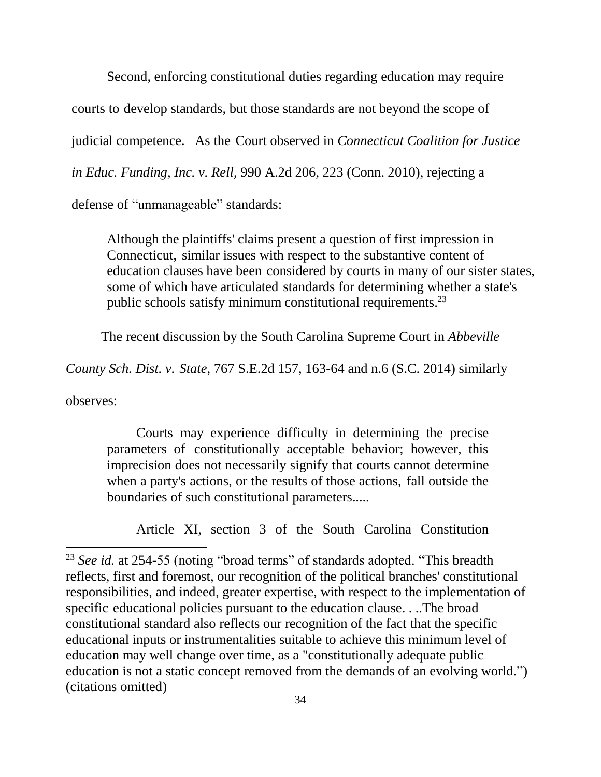Second, enforcing constitutional duties regarding education may require

courts to develop standards, but those standards are not beyond the scope of

judicial competence. As the Court observed in *Connecticut Coalition for Justice* 

*in Educ. Funding, Inc. v. Rell*, 990 A.2d 206, 223 (Conn. 2010), rejecting a

defense of "unmanageable" standards:

Although the plaintiffs' claims present a question of first impression in Connecticut, similar issues with respect to the substantive content of education clauses have been considered by courts in many of our sister states, some of which have articulated standards for determining whether a state's public schools satisfy minimum constitutional requirements.<sup>23</sup>

The recent discussion by the South Carolina Supreme Court in *Abbeville*

*County Sch. Dist. v. State*, 767 S.E.2d 157, 163-64 and n.6 (S.C. 2014) similarly

observes:

 $\overline{a}$ 

Courts may experience difficulty in determining the precise parameters of constitutionally acceptable behavior; however, this imprecision does not necessarily signify that courts cannot determine when a party's actions, or the results of those actions, fall outside the boundaries of such constitutional parameters.....

Article XI, section 3 of the South Carolina Constitution

<sup>&</sup>lt;sup>23</sup> *See id.* at 254-55 (noting "broad terms" of standards adopted. "This breadth reflects, first and foremost, our recognition of the political branches' constitutional responsibilities, and indeed, greater expertise, with respect to the implementation of specific educational policies pursuant to the education clause. . ..The broad constitutional standard also reflects our recognition of the fact that the specific educational inputs or instrumentalities suitable to achieve this minimum level of education may well change over time, as a "constitutionally adequate public education is not a static concept removed from the demands of an evolving world.") (citations omitted)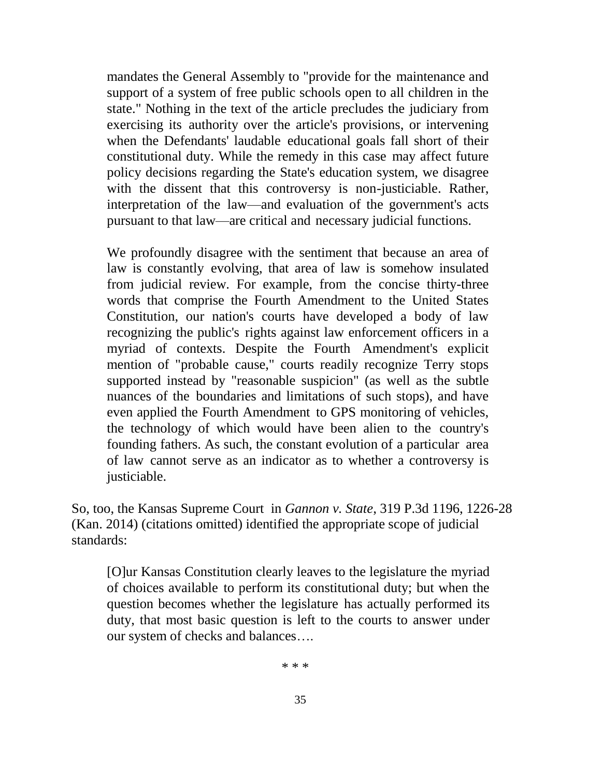mandates the General Assembly to "provide for the maintenance and support of a system of free public schools open to all children in the state." Nothing in the text of the article precludes the judiciary from exercising its authority over the article's provisions, or intervening when the Defendants' laudable educational goals fall short of their constitutional duty. While the remedy in this case may affect future policy decisions regarding the State's education system, we disagree with the dissent that this controversy is non-justiciable. Rather, interpretation of the law—and evaluation of the government's acts pursuant to that law—are critical and necessary judicial functions.

We profoundly disagree with the sentiment that because an area of law is constantly evolving, that area of law is somehow insulated from judicial review. For example, from the concise thirty-three words that comprise the Fourth Amendment to the United States Constitution, our nation's courts have developed a body of law recognizing the public's rights against law enforcement officers in a myriad of contexts. Despite the Fourth Amendment's explicit mention of "probable cause," courts readily recognize Terry stops supported instead by "reasonable suspicion" (as well as the subtle nuances of the boundaries and limitations of such stops), and have even applied the Fourth Amendment to GPS monitoring of vehicles, the technology of which would have been alien to the country's founding fathers. As such, the constant evolution of a particular area of law cannot serve as an indicator as to whether a controversy is justiciable.

So, too, the Kansas Supreme Court in *Gannon v. State*, 319 P.3d 1196, 1226-28 (Kan. 2014) (citations omitted) identified the appropriate scope of judicial standards:

[O]ur Kansas Constitution clearly leaves to the legislature the myriad of choices available to perform its constitutional duty; but when the question becomes whether the legislature has actually performed its duty, that most basic question is left to the courts to answer under our system of checks and balances….

\* \* \*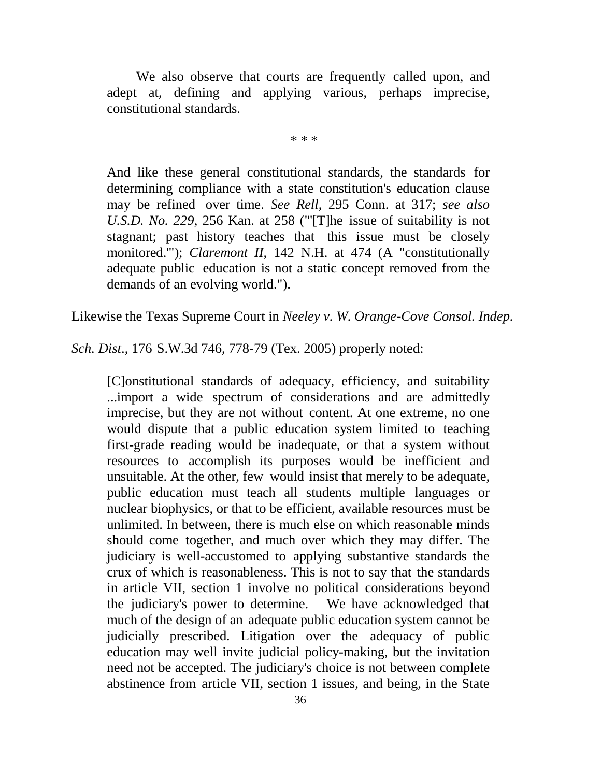We also observe that courts are frequently called upon, and adept at, defining and applying various, perhaps imprecise, constitutional standards.

\* \* \*

And like these general constitutional standards, the standards for determining compliance with a state constitution's education clause may be refined over time. *See Rell*, 295 Conn. at 317; *see also U.S.D. No. 229*, 256 Kan. at 258 ("'[T]he issue of suitability is not stagnant; past history teaches that this issue must be closely monitored."); *Claremont II*, 142 N.H. at 474 (A "constitutionally adequate public education is not a static concept removed from the demands of an evolving world.").

Likewise the Texas Supreme Court in *Neeley v. W. Orange-Cove Consol. Indep.* 

*Sch. Dist*., 176 S.W.3d 746, 778-79 (Tex. 2005) properly noted:

[C]onstitutional standards of adequacy, efficiency, and suitability ...import a wide spectrum of considerations and are admittedly imprecise, but they are not without content. At one extreme, no one would dispute that a public education system limited to teaching first-grade reading would be inadequate, or that a system without resources to accomplish its purposes would be inefficient and unsuitable. At the other, few would insist that merely to be adequate, public education must teach all students multiple languages or nuclear biophysics, or that to be efficient, available resources must be unlimited. In between, there is much else on which reasonable minds should come together, and much over which they may differ. The judiciary is well-accustomed to applying substantive standards the crux of which is reasonableness. This is not to say that the standards in article VII, section 1 involve no political considerations beyond the judiciary's power to determine. We have acknowledged that much of the design of an adequate public education system cannot be judicially prescribed. Litigation over the adequacy of public education may well invite judicial policy-making, but the invitation need not be accepted. The judiciary's choice is not between complete abstinence from article VII, section 1 issues, and being, in the State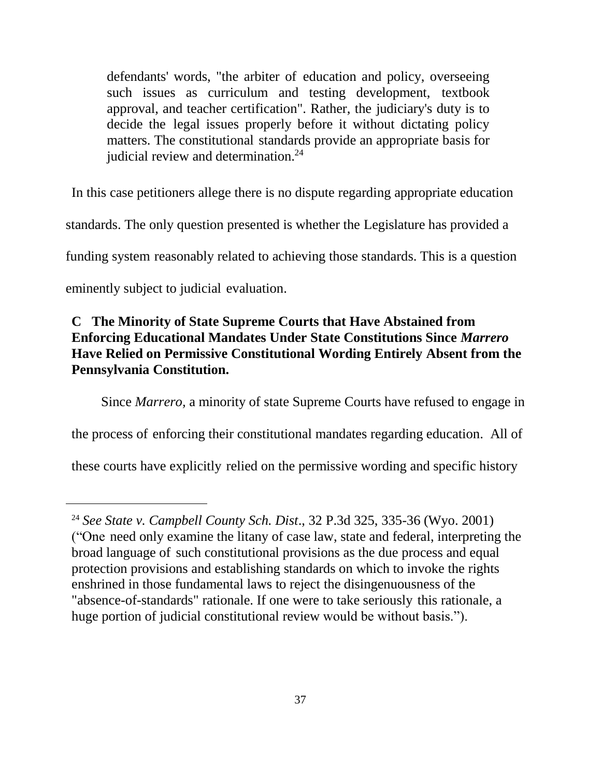defendants' words, "the arbiter of education and policy, overseeing such issues as curriculum and testing development, textbook approval, and teacher certification". Rather, the judiciary's duty is to decide the legal issues properly before it without dictating policy matters. The constitutional standards provide an appropriate basis for judicial review and determination.<sup>24</sup>

In this case petitioners allege there is no dispute regarding appropriate education standards. The only question presented is whether the Legislature has provided a funding system reasonably related to achieving those standards. This is a question eminently subject to judicial evaluation.

## **C The Minority of State Supreme Courts that Have Abstained from Enforcing Educational Mandates Under State Constitutions Since** *Marrero*  **Have Relied on Permissive Constitutional Wording Entirely Absent from the Pennsylvania Constitution.**

Since *Marrero,* a minority of state Supreme Courts have refused to engage in

the process of enforcing their constitutional mandates regarding education. All of

these courts have explicitly relied on the permissive wording and specific history

 $\overline{a}$ 

<sup>24</sup> *See State v. Campbell County Sch. Dist*., 32 P.3d 325, 335-36 (Wyo. 2001) ("One need only examine the litany of case law, state and federal, interpreting the broad language of such constitutional provisions as the due process and equal protection provisions and establishing standards on which to invoke the rights enshrined in those fundamental laws to reject the disingenuousness of the "absence-of-standards" rationale. If one were to take seriously this rationale, a huge portion of judicial constitutional review would be without basis.").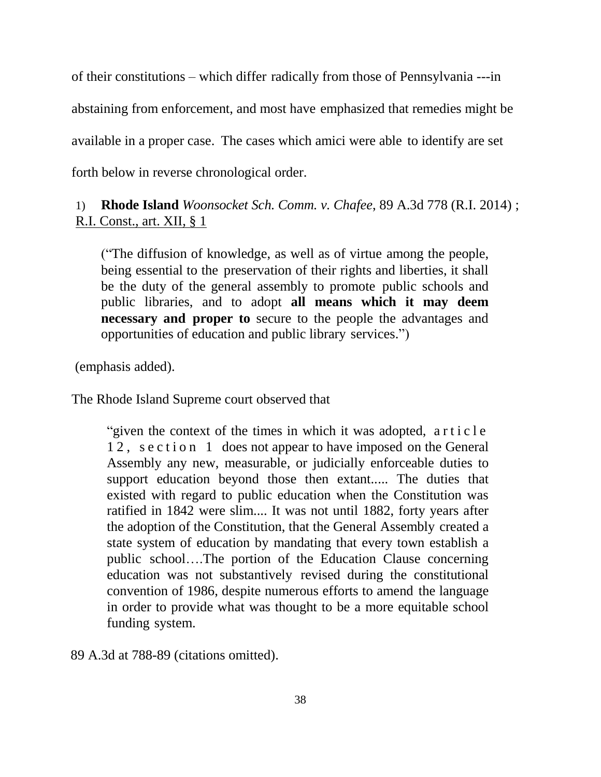of their constitutions – which differ radically from those of Pennsylvania ---in abstaining from enforcement, and most have emphasized that remedies might be available in a proper case. The cases which amici were able to identify are set forth below in reverse chronological order.

1) **Rhode Island** *Woonsocket Sch. Comm. v. Chafee*, 89 A.3d 778 (R.I. 2014) ; R.I. Const., art. XII, § 1

("The diffusion of knowledge, as well as of virtue among the people, being essential to the preservation of their rights and liberties, it shall be the duty of the general assembly to promote public schools and public libraries, and to adopt **all means which it may deem necessary and proper to** secure to the people the advantages and opportunities of education and public library services.")

(emphasis added).

The Rhode Island Supreme court observed that

"given the context of the times in which it was adopted, a r t i c l e 12, section 1 does not appear to have imposed on the General Assembly any new, measurable, or judicially enforceable duties to support education beyond those then extant..... The duties that existed with regard to public education when the Constitution was ratified in 1842 were slim.... It was not until 1882, forty years after the adoption of the Constitution, that the General Assembly created a state system of education by mandating that every town establish a public school….The portion of the Education Clause concerning education was not substantively revised during the constitutional convention of 1986, despite numerous efforts to amend the language in order to provide what was thought to be a more equitable school funding system.

89 A.3d at 788-89 (citations omitted).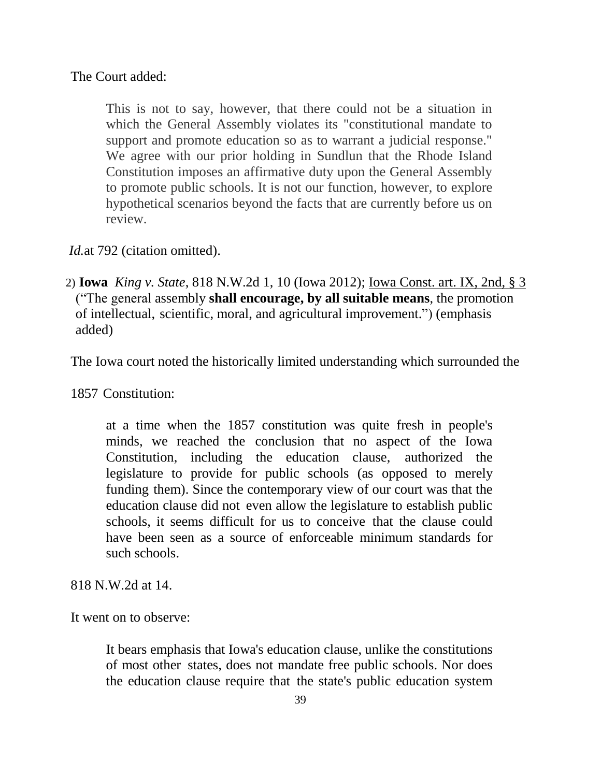The Court added:

This is not to say, however, that there could not be a situation in which the General Assembly violates its "constitutional mandate to support and promote education so as to warrant a judicial response." We agree with our prior holding in Sundlun that the Rhode Island Constitution imposes an affirmative duty upon the General Assembly to promote public schools. It is not our function, however, to explore hypothetical scenarios beyond the facts that are currently before us on review.

*Id.at* 792 (citation omitted).

2) **Iowa** *King v. State*, 818 N.W.2d 1, 10 (Iowa 2012); Iowa Const. art. IX, 2nd, § 3 ("The general assembly **shall encourage, by all suitable means**, the promotion of intellectual, scientific, moral, and agricultural improvement.") (emphasis added)

The Iowa court noted the historically limited understanding which surrounded the

1857 Constitution:

at a time when the 1857 constitution was quite fresh in people's minds, we reached the conclusion that no aspect of the Iowa Constitution, including the education clause, authorized the legislature to provide for public schools (as opposed to merely funding them). Since the contemporary view of our court was that the education clause did not even allow the legislature to establish public schools, it seems difficult for us to conceive that the clause could have been seen as a source of enforceable minimum standards for such schools.

818 N.W.2d at 14.

It went on to observe:

It bears emphasis that Iowa's education clause, unlike the constitutions of most other states, does not mandate free public schools. Nor does the education clause require that the state's public education system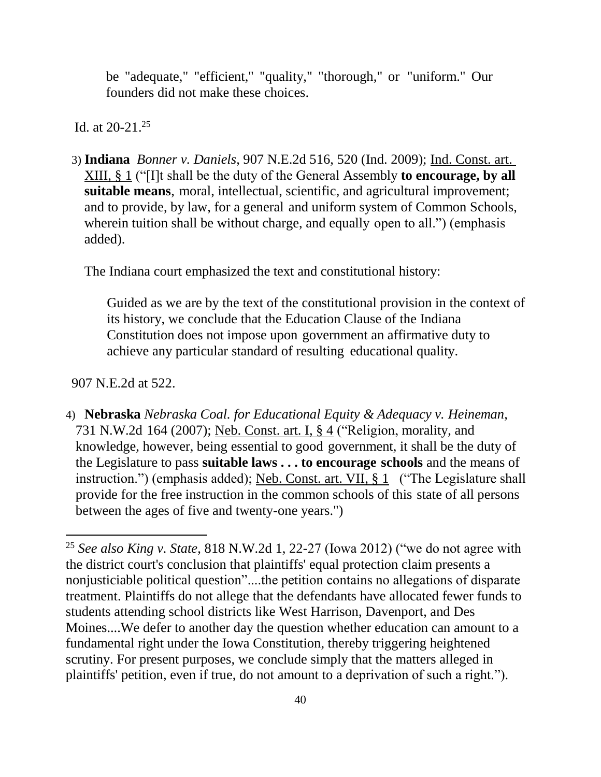be "adequate," "efficient," "quality," "thorough," or "uniform." Our founders did not make these choices.

Id. at 20-21. 25

3) **Indiana** *Bonner v. Daniels*, 907 N.E.2d 516, 520 (Ind. 2009); Ind. Const. art. XIII, § 1 ("[I]t shall be the duty of the General Assembly **to encourage, by all suitable means**, moral, intellectual, scientific, and agricultural improvement; and to provide, by law, for a general and uniform system of Common Schools, wherein tuition shall be without charge, and equally open to all.") (emphasis added).

The Indiana court emphasized the text and constitutional history:

Guided as we are by the text of the constitutional provision in the context of its history, we conclude that the Education Clause of the Indiana Constitution does not impose upon government an affirmative duty to achieve any particular standard of resulting educational quality.

907 N.E.2d at 522.

 $\overline{a}$ 

4) **Nebraska** *Nebraska Coal. for Educational Equity & Adequacy v. Heineman*, 731 N.W.2d 164 (2007); Neb. Const. art. I, § 4 ("Religion, morality, and knowledge, however, being essential to good government, it shall be the duty of the Legislature to pass **suitable laws . . . to encourage schools** and the means of instruction.") (emphasis added); Neb. Const. art. VII, § 1 ("The Legislature shall provide for the free instruction in the common schools of this state of all persons between the ages of five and twenty-one years.")

<sup>25</sup> *See also King v. State*, 818 N.W.2d 1, 22-27 (Iowa 2012) ("we do not agree with the district court's conclusion that plaintiffs' equal protection claim presents a nonjusticiable political question"....the petition contains no allegations of disparate treatment. Plaintiffs do not allege that the defendants have allocated fewer funds to students attending school districts like West Harrison, Davenport, and Des Moines....We defer to another day the question whether education can amount to a fundamental right under the Iowa Constitution, thereby triggering heightened scrutiny. For present purposes, we conclude simply that the matters alleged in plaintiffs' petition, even if true, do not amount to a deprivation of such a right.").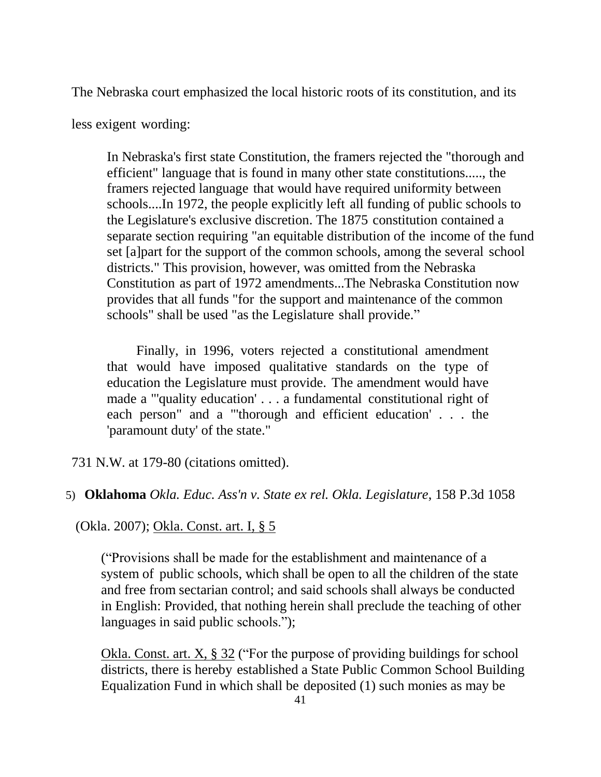The Nebraska court emphasized the local historic roots of its constitution, and its

less exigent wording:

In Nebraska's first state Constitution, the framers rejected the "thorough and efficient" language that is found in many other state constitutions....., the framers rejected language that would have required uniformity between schools....In 1972, the people explicitly left all funding of public schools to the Legislature's exclusive discretion. The 1875 constitution contained a separate section requiring "an equitable distribution of the income of the fund set [a]part for the support of the common schools, among the several school districts." This provision, however, was omitted from the Nebraska Constitution as part of 1972 amendments...The Nebraska Constitution now provides that all funds "for the support and maintenance of the common schools" shall be used "as the Legislature shall provide."

Finally, in 1996, voters rejected a constitutional amendment that would have imposed qualitative standards on the type of education the Legislature must provide. The amendment would have made a "'quality education' . . . a fundamental constitutional right of each person" and a "'thorough and efficient education' . . . the 'paramount duty' of the state."

731 N.W. at 179-80 (citations omitted).

### 5) **Oklahoma** *Okla. Educ. Ass'n v. State ex rel. Okla. Legislature*, 158 P.3d 1058

(Okla. 2007); Okla. Const. art. I, § 5

("Provisions shall be made for the establishment and maintenance of a system of public schools, which shall be open to all the children of the state and free from sectarian control; and said schools shall always be conducted in English: Provided, that nothing herein shall preclude the teaching of other languages in said public schools.");

Okla. Const. art. X, § 32 ("For the purpose of providing buildings for school districts, there is hereby established a State Public Common School Building Equalization Fund in which shall be deposited (1) such monies as may be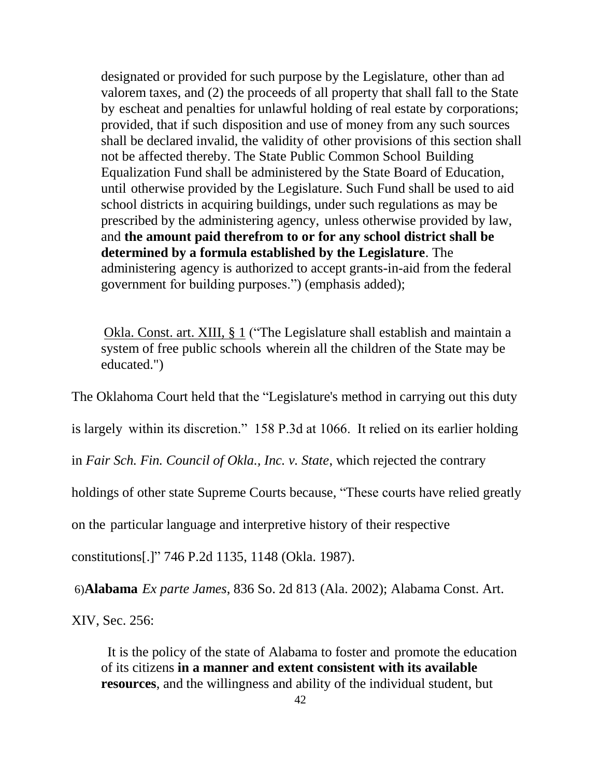designated or provided for such purpose by the Legislature, other than ad valorem taxes, and (2) the proceeds of all property that shall fall to the State by escheat and penalties for unlawful holding of real estate by corporations; provided, that if such disposition and use of money from any such sources shall be declared invalid, the validity of other provisions of this section shall not be affected thereby. The State Public Common School Building Equalization Fund shall be administered by the State Board of Education, until otherwise provided by the Legislature. Such Fund shall be used to aid school districts in acquiring buildings, under such regulations as may be prescribed by the administering agency, unless otherwise provided by law, and **the amount paid therefrom to or for any school district shall be determined by a formula established by the Legislature**. The administering agency is authorized to accept grants-in-aid from the federal government for building purposes.") (emphasis added);

Okla. Const. art. XIII, § 1 ("The Legislature shall establish and maintain a system of free public schools wherein all the children of the State may be educated.")

The Oklahoma Court held that the "Legislature's method in carrying out this duty

is largely within its discretion." 158 P.3d at 1066. It relied on its earlier holding

in *Fair Sch. Fin. Council of Okla., Inc. v. State*, which rejected the contrary

holdings of other state Supreme Courts because, "These courts have relied greatly

on the particular language and interpretive history of their respective

constitutions[.]" 746 P.2d 1135, 1148 (Okla. 1987).

6)**Alabama** *Ex parte James*, 836 So. 2d 813 (Ala. 2002); Alabama Const. Art.

XIV, Sec. 256:

It is the policy of the state of Alabama to foster and promote the education of its citizens **in a manner and extent consistent with its available resources**, and the willingness and ability of the individual student, but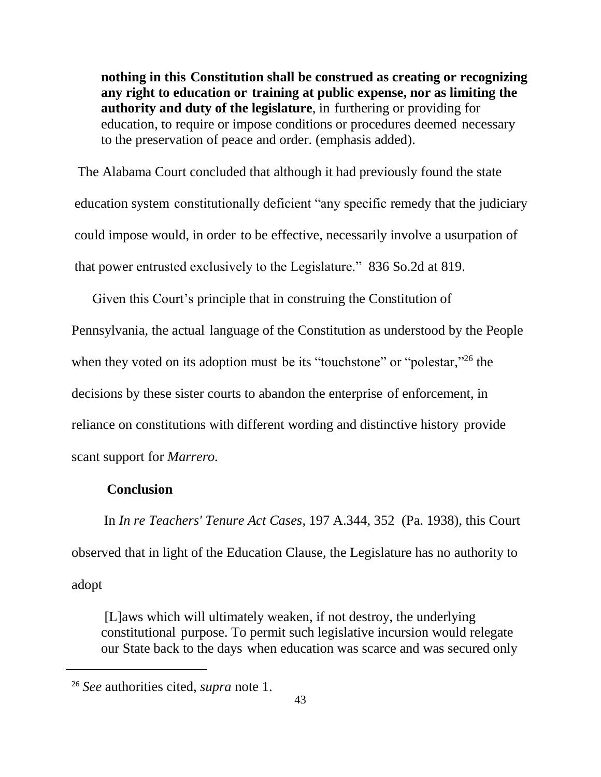**nothing in this Constitution shall be construed as creating or recognizing any right to education or training at public expense, nor as limiting the authority and duty of the legislature**, in furthering or providing for education, to require or impose conditions or procedures deemed necessary to the preservation of peace and order. (emphasis added).

The Alabama Court concluded that although it had previously found the state education system constitutionally deficient "any specific remedy that the judiciary could impose would, in order to be effective, necessarily involve a usurpation of that power entrusted exclusively to the Legislature." 836 So.2d at 819.

Given this Court's principle that in construing the Constitution of

Pennsylvania, the actual language of the Constitution as understood by the People

when they voted on its adoption must be its "touchstone" or "polestar,"<sup>26</sup> the

decisions by these sister courts to abandon the enterprise of enforcement, in

reliance on constitutions with different wording and distinctive history provide

scant support for *Marrero.*

#### **Conclusion**

 $\overline{a}$ 

In *In re Teachers' Tenure Act Cases*, 197 A.344, 352 (Pa. 1938), this Court observed that in light of the Education Clause, the Legislature has no authority to adopt

[L]aws which will ultimately weaken, if not destroy, the underlying constitutional purpose. To permit such legislative incursion would relegate our State back to the days when education was scarce and was secured only

<sup>26</sup> *See* authorities cited, *supra* note 1.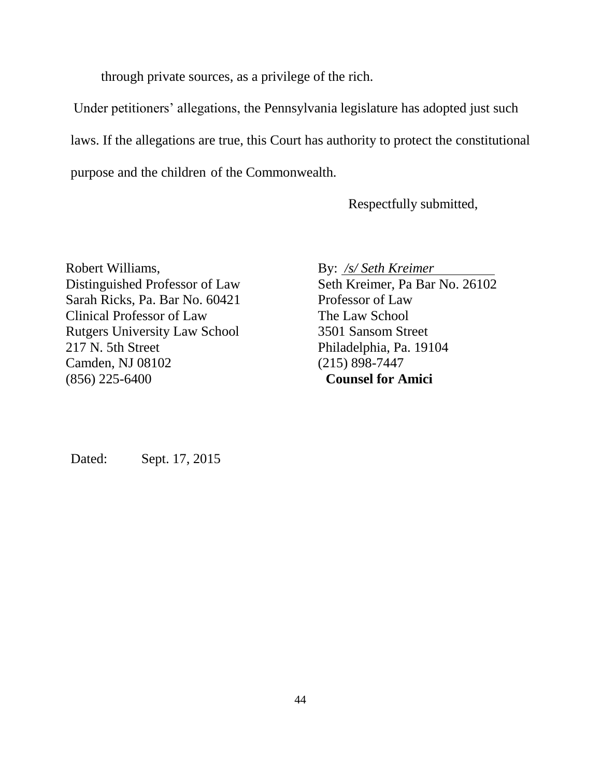through private sources, as a privilege of the rich.

Under petitioners' allegations, the Pennsylvania legislature has adopted just such laws. If the allegations are true, this Court has authority to protect the constitutional purpose and the children of the Commonwealth.

Respectfully submitted,

Robert Williams, Distinguished Professor of Law Sarah Ricks, Pa. Bar No. 60421 Clinical Professor of Law Rutgers University Law School 217 N. 5th Street Camden, NJ 08102 (856) 225-6400

By: */s/ Seth Kreimer* Seth Kreimer, Pa Bar No. 26102 Professor of Law The Law School 3501 Sansom Street Philadelphia, Pa. 19104 (215) 898-7447 **Counsel for Amici**

Dated: Sept. 17, 2015